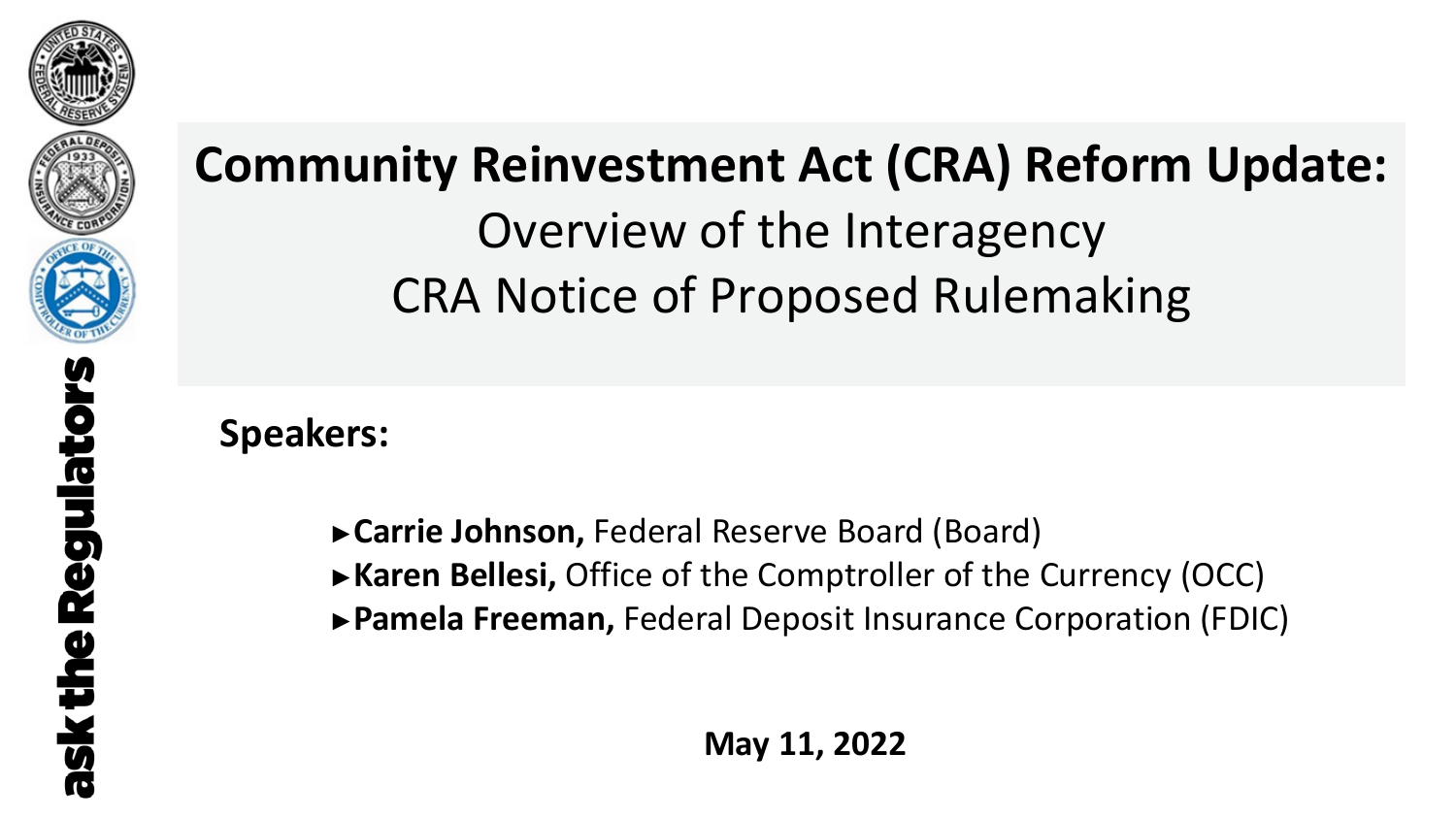



# **Community Reinvestment Act (CRA) Reform Update:** Overview of the Interagency CRA Notice of Proposed Rulemaking

**Speakers:**

- **►Carrie Johnson,** Federal Reserve Board (Board)
- **►Karen Bellesi,** Office of the Comptroller of the Currency (OCC)
- **►Pamela Freeman,** Federal Deposit Insurance Corporation (FDIC)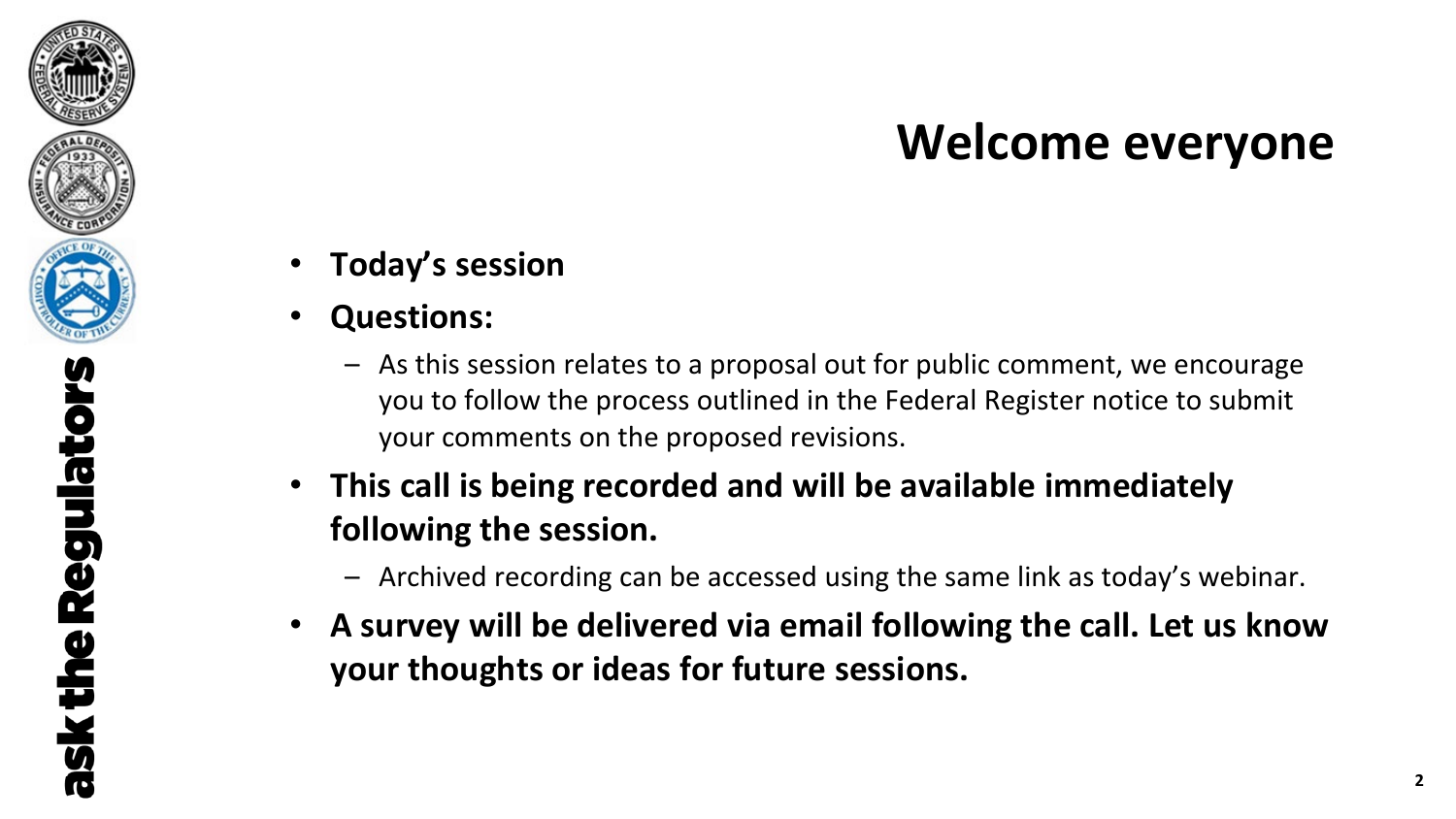## **Welcome everyone**

- **Today's session**
- **Questions:**

ask the Regulators

- As this session relates to a proposal out for public comment, we encourage you to follow the process outlined in the Federal Register notice to submit your comments on the proposed revisions.
- **This call is being recorded and will be available immediately following the session.**
	- Archived recording can be accessed using the same link as today's webinar.
- **A survey will be delivered via email following the call. Let us know your thoughts or ideas for future sessions.**

**2**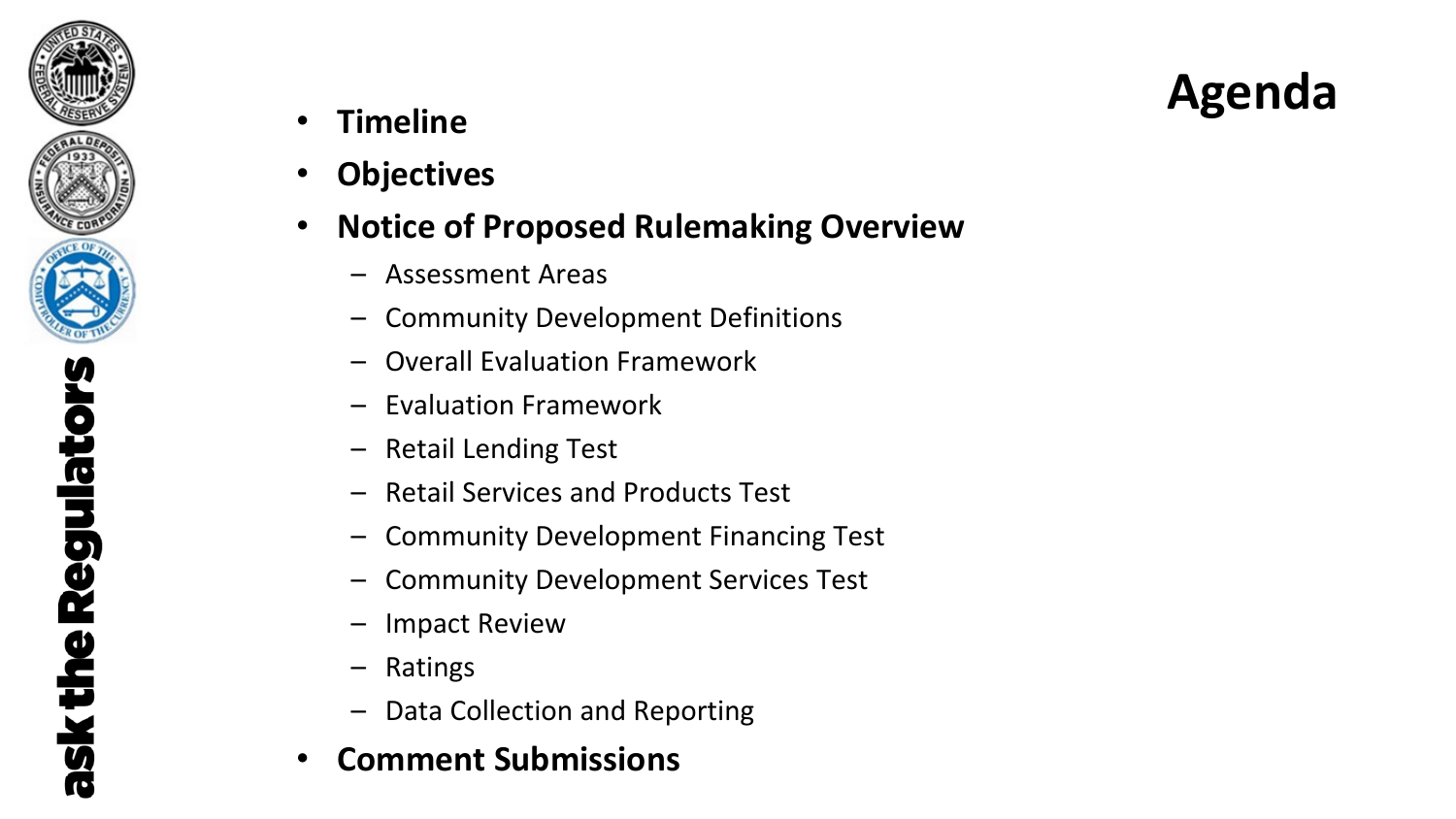

# **Agenda** • **Timeline**

- 
- **Objectives**

### • **Notice of Proposed Rulemaking Overview**

- Assessment Areas
- Community Development Definitions
- Overall Evaluation Framework
- Evaluation Framework
- Retail Lending Test
- Retail Services and Products Test
- Community Development Financing Test
- Community Development Services Test
- Impact Review
- Ratings
- Data Collection and Reporting
- **Comment Submissions**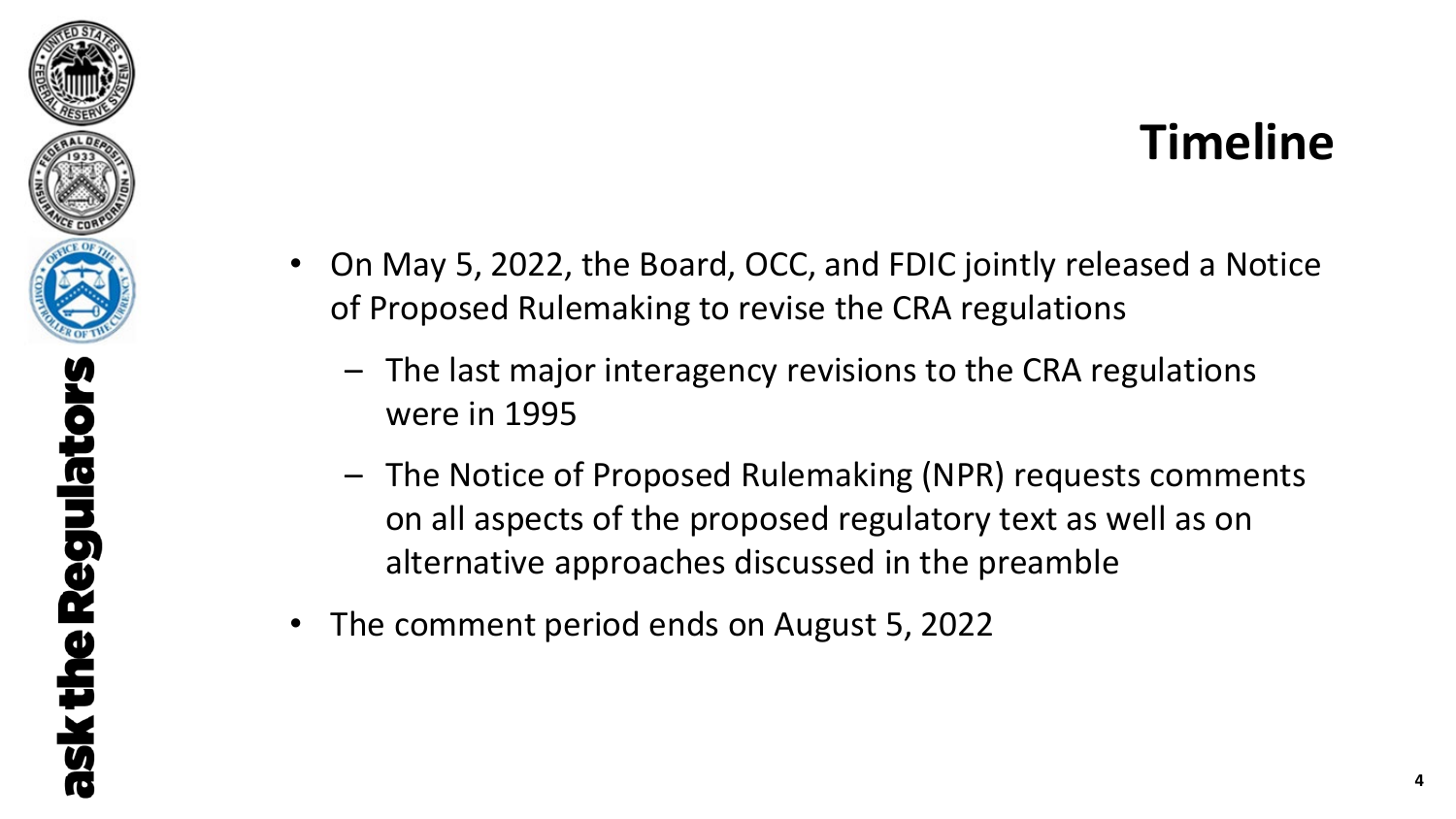

- On May 5, 2022, the Board, OCC, and FDIC jointly released a Notice of Proposed Rulemaking to revise the CRA regulations
	- The last major interagency revisions to the CRA regulations were in 1995
	- The Notice of Proposed Rulemaking (NPR) requests comments on all aspects of the proposed regulatory text as well as on alternative approaches discussed in the preamble
- The comment period ends on August 5, 2022

ask the Regulators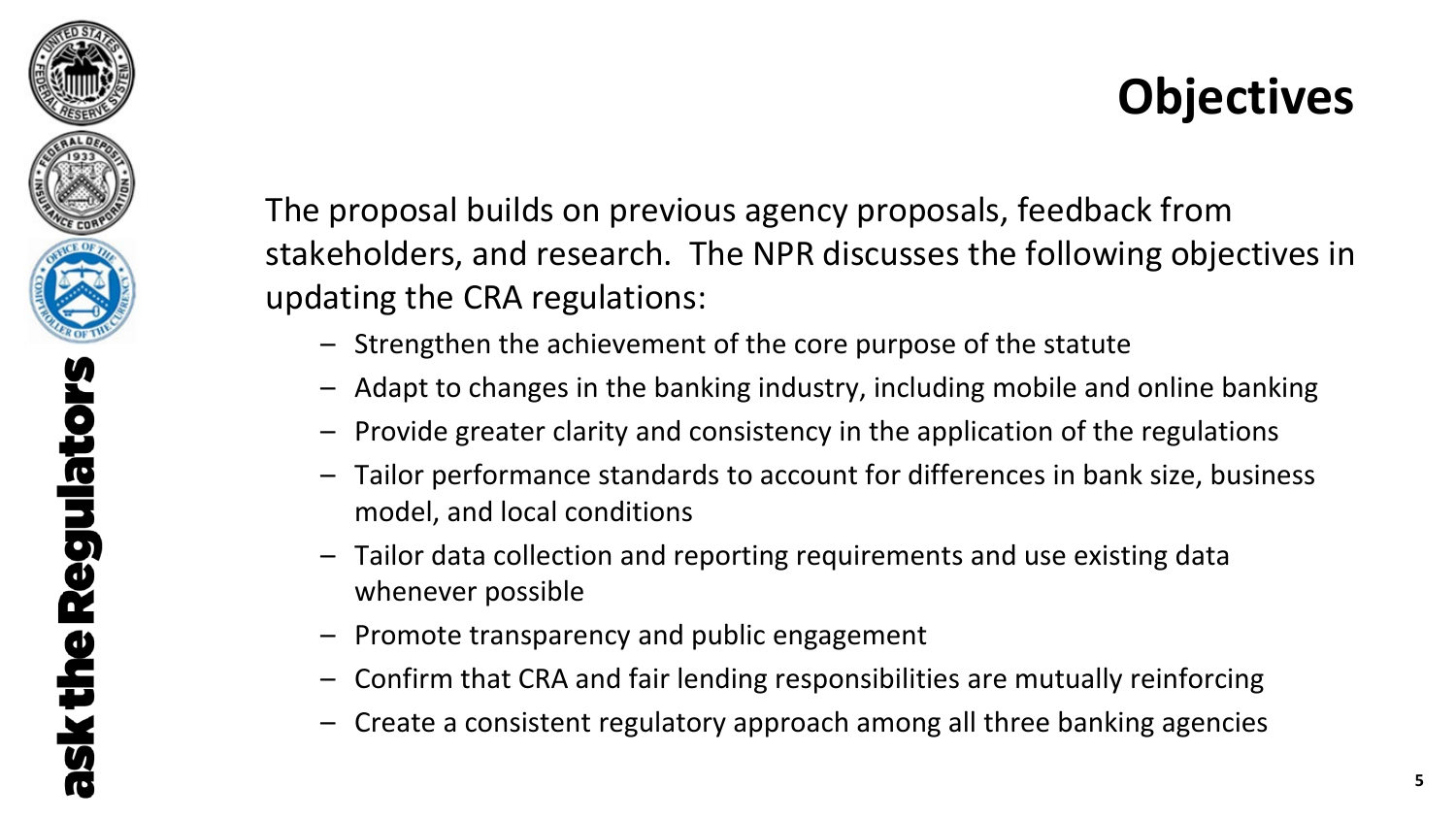

**Regulators** ask the

The proposal builds on previous agency proposals, feedback from stakeholders, and research. The NPR discusses the following objectives in updating the CRA regulations:

- Strengthen the achievement of the core purpose of the statute
- Adapt to changes in the banking industry, including mobile and online banking
- Provide greater clarity and consistency in the application of the regulations
- Tailor performance standards to account for differences in bank size, business model, and local conditions
- Tailor data collection and reporting requirements and use existing data whenever possible
- Promote transparency and public engagement
- Confirm that CRA and fair lending responsibilities are mutually reinforcing
- Create a consistent regulatory approach among all three banking agencies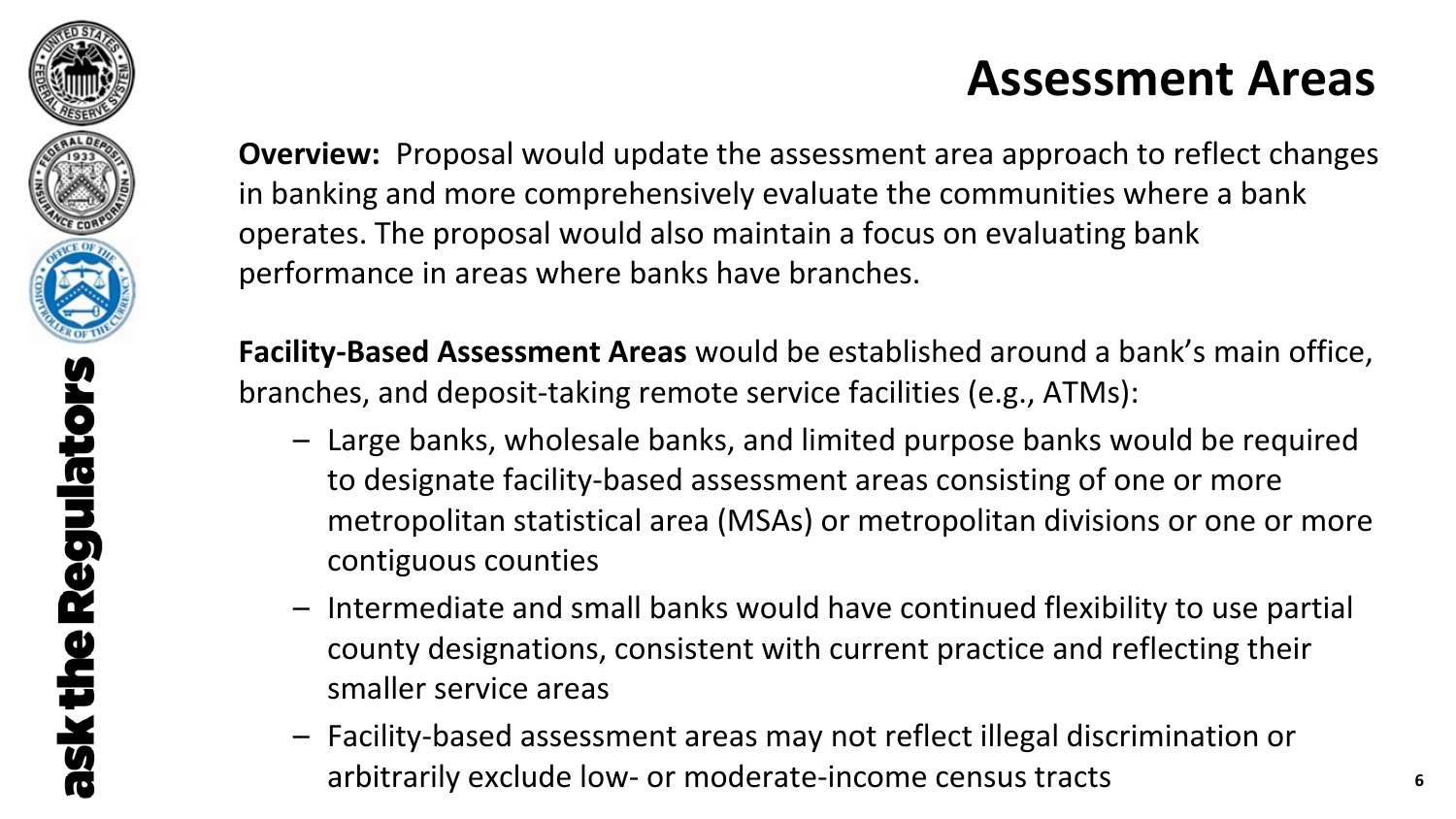

### **Assessment Areas**

**Overview:** Proposal would update the assessment area approach to reflect changes in banking and more comprehensively evaluate the communities where a bank operates. The proposal would also maintain a focus on evaluating bank performance in areas where banks have branches.

**Facility-Based Assessment Areas** would be established around a bank's main office, branches, and deposit-taking remote service facilities (e.g., ATMs):

- Large banks, wholesale banks, and limited purpose banks would be required to designate facility-based assessment areas consisting of one or more metropolitan statistical area (MSAs) or metropolitan divisions or one or more contiguous counties
- Intermediate and small banks would have continued flexibility to use partial county designations, consistent with current practice and reflecting their smaller service areas
- Facility-based assessment areas may not reflect illegal discrimination or arbitrarily exclude low- or moderate-income census tracts **<sup>6</sup>**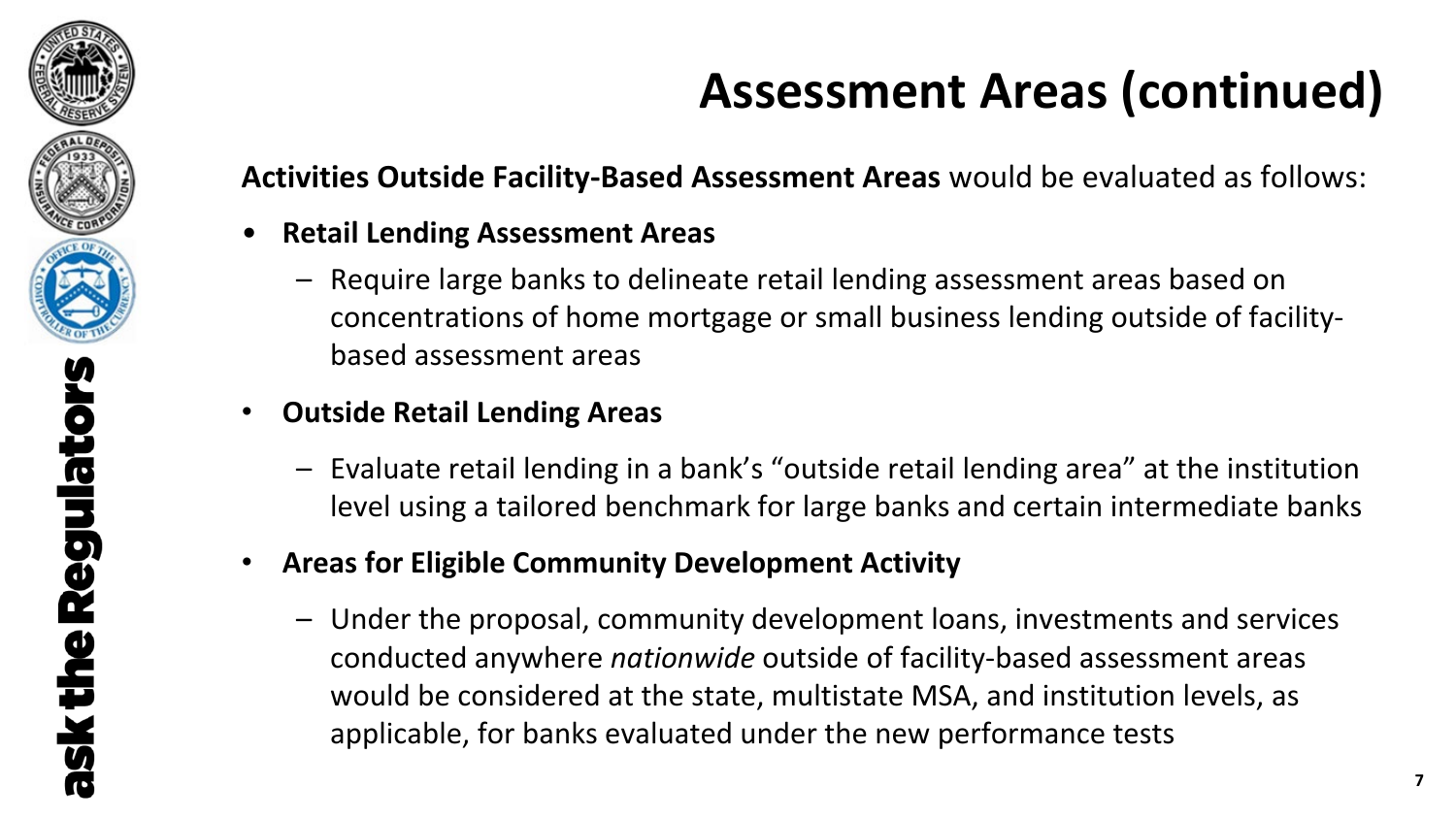

## **Assessment Areas (continued)**

**Activities Outside Facility-Based Assessment Areas** would be evaluated as follows:

- **Retail Lending Assessment Areas**
	- Require large banks to delineate retail lending assessment areas based on concentrations of home mortgage or small business lending outside of facilitybased assessment areas
- **Outside Retail Lending Areas**
	- Evaluate retail lending in a bank's "outside retail lending area" at the institution level using a tailored benchmark for large banks and certain intermediate banks
- **Areas for Eligible Community Development Activity**
	- Under the proposal, community development loans, investments and services conducted anywhere *nationwide* outside of facility-based assessment areas would be considered at the state, multistate MSA, and institution levels, as applicable, for banks evaluated under the new performance tests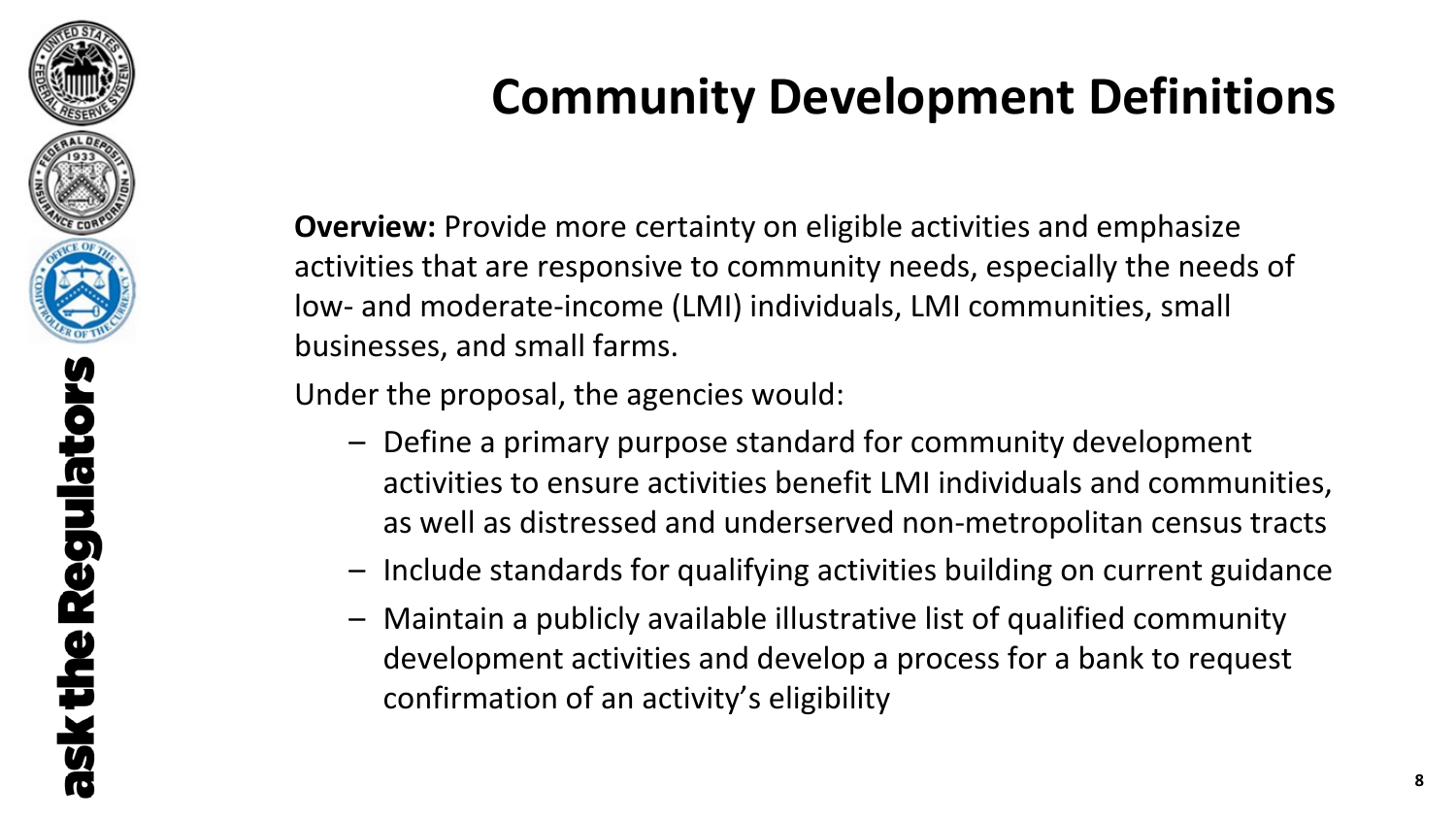

## **Community Development Definitions**

**Overview:** Provide more certainty on eligible activities and emphasize activities that are responsive to community needs, especially the needs of low- and moderate-income (LMI) individuals, LMI communities, small businesses, and small farms.

Under the proposal, the agencies would:

- Define a primary purpose standard for community development activities to ensure activities benefit LMI individuals and communities, as well as distressed and underserved non-metropolitan census tracts
- Include standards for qualifying activities building on current guidance
- Maintain a publicly available illustrative list of qualified community development activities and develop a process for a bank to request confirmation of an activity's eligibility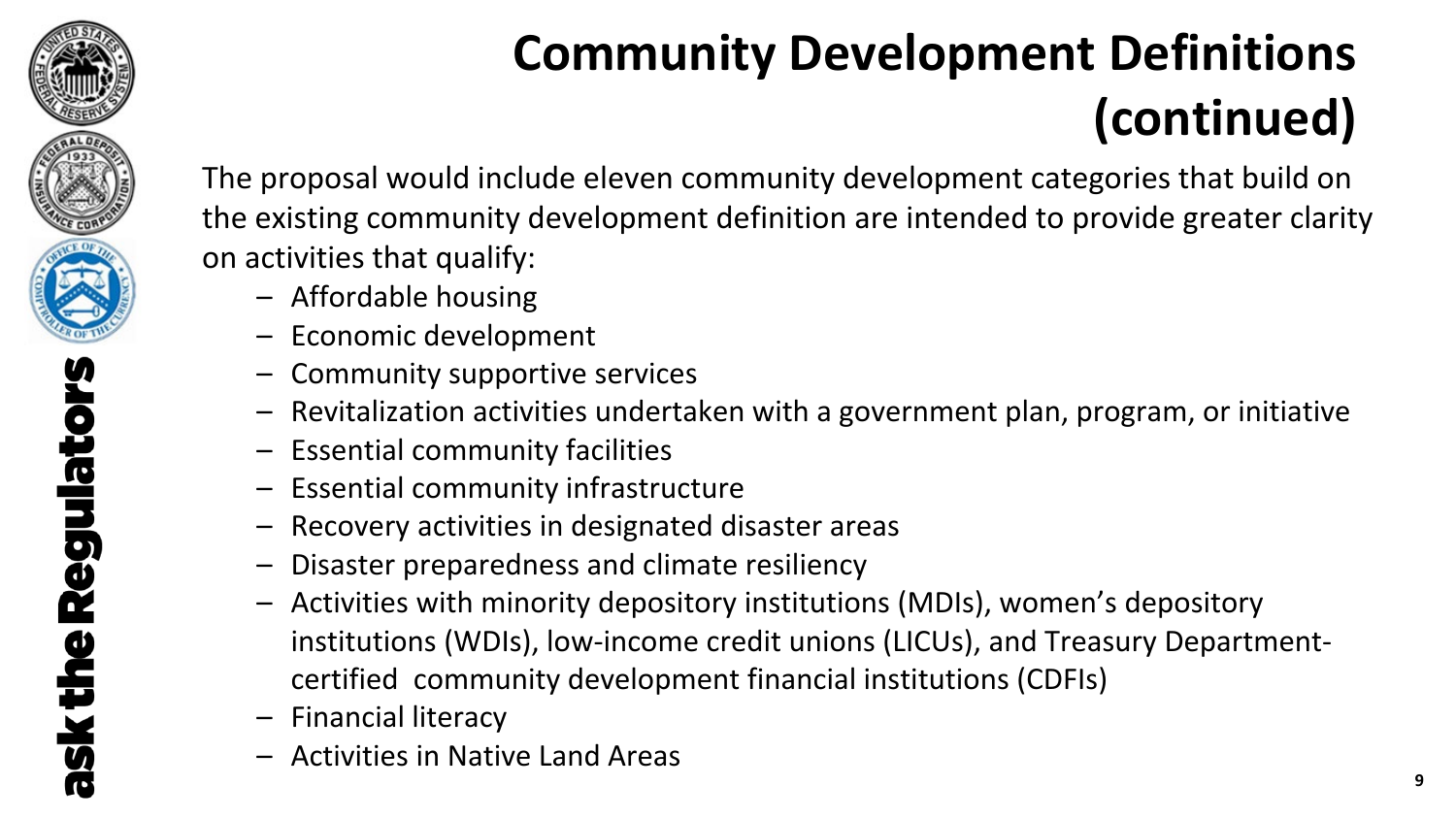

# **Community Development Definitions (continued)**

The proposal would include eleven community development categories that build on the existing community development definition are intended to provide greater clarity on activities that qualify:

- Affordable housing
- Economic development
- Community supportive services
- Revitalization activities undertaken with a government plan, program, or initiative
- Essential community facilities
- Essential community infrastructure
- Recovery activities in designated disaster areas
- Disaster preparedness and climate resiliency
- Activities with minority depository institutions (MDIs), women's depository institutions (WDIs), low-income credit unions (LICUs), and Treasury Departmentcertified community development financial institutions (CDFIs)
- Financial literacy
- Activities in Native Land Areas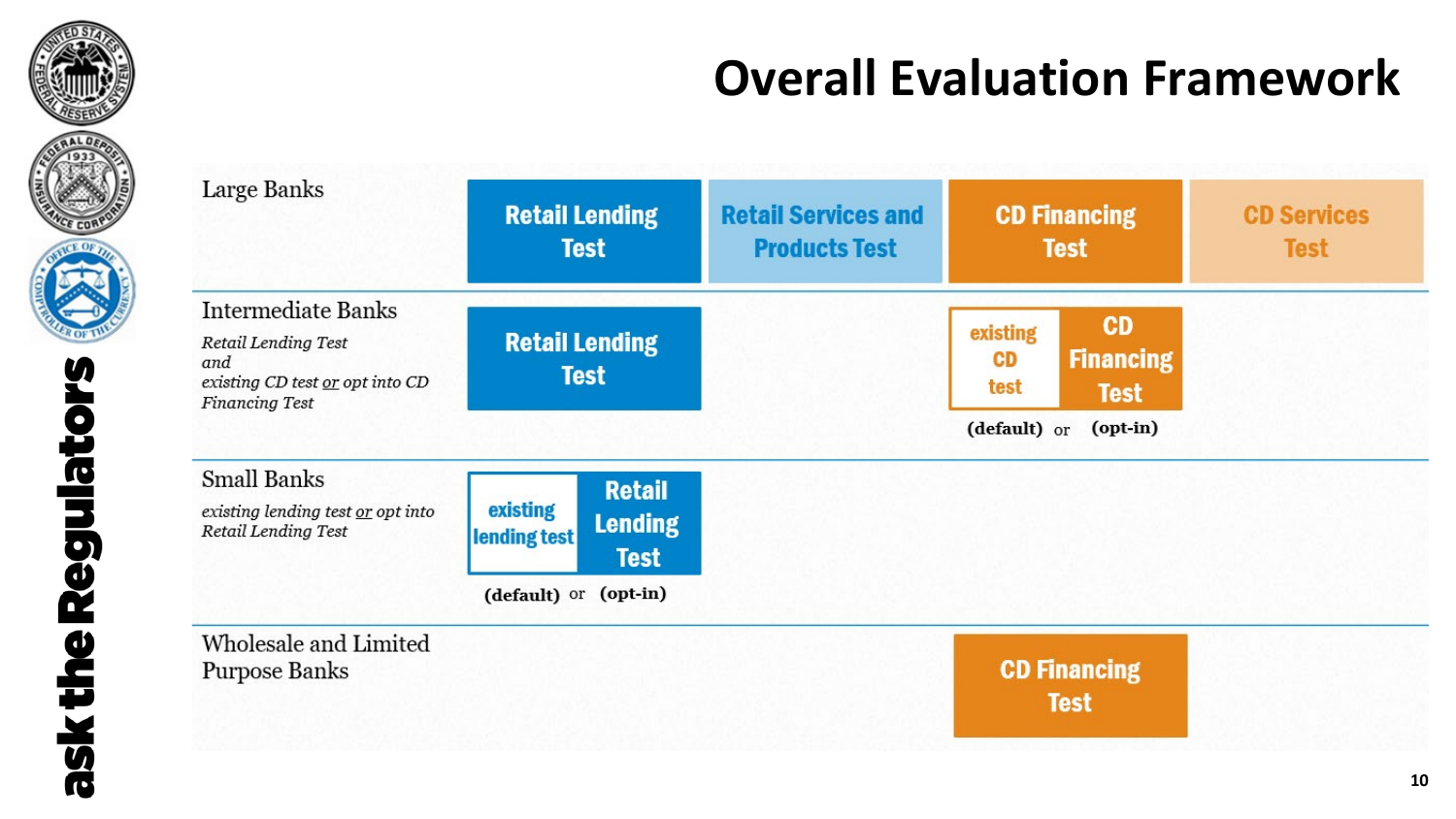

## **Overall Evaluation Framework**

| Large Banks                                                                                                  | <b>Retail Lending</b><br><b>Test</b>                                                                | <b>Retail Services and</b><br><b>Products Test</b> | <b>CD Financing</b><br><b>Test</b>                                                                 | <b>CD Services</b><br><b>Test</b> |
|--------------------------------------------------------------------------------------------------------------|-----------------------------------------------------------------------------------------------------|----------------------------------------------------|----------------------------------------------------------------------------------------------------|-----------------------------------|
| Intermediate Banks<br><b>Retail Lending Test</b><br>and<br>existing CD test or opt into CD<br>Financing Test | <b>Retail Lending</b><br><b>Test</b>                                                                |                                                    | <b>CD</b><br>existing<br><b>Financing</b><br>CD<br>test<br><b>Test</b><br>(default) or<br>(opt-in) |                                   |
| <b>Small Banks</b><br>existing lending test or opt into<br>Retail Lending Test                               | <b>Retail</b><br>existing<br><b>Lending</b><br>lending test<br><b>Test</b><br>(default) or (opt-in) |                                                    |                                                                                                    |                                   |
| Wholesale and Limited<br>Purpose Banks                                                                       |                                                                                                     |                                                    | <b>CD Financing</b><br><b>Test</b>                                                                 |                                   |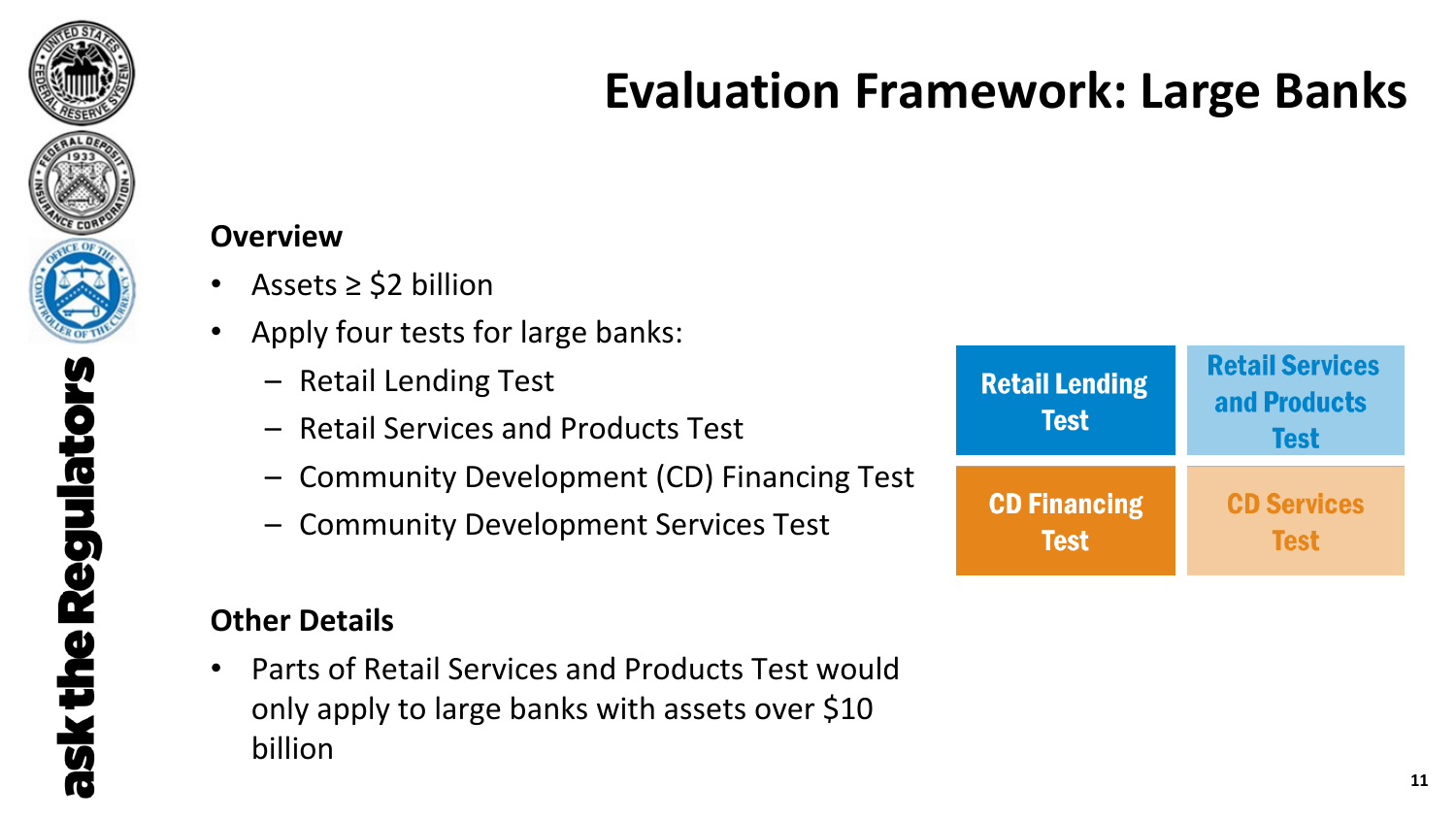

### **Evaluation Framework: Large Banks**

#### **Overview**

- Assets ≥ \$2 billion
- Apply four tests for large banks:
	- Retail Lending Test
	- Retail Services and Products Test
	- Community Development (CD) Financing Test
	- Community Development Services Test

### **Other Details**

• Parts of Retail Services and Products Test would only apply to large banks with assets over \$10 billion

| <b>Retail Lending</b><br><b>Test</b> | <b>Retail Services</b><br>and Products<br><b>Test</b> |
|--------------------------------------|-------------------------------------------------------|
| <b>CD Financing</b>                  | <b>CD Services</b>                                    |
| <b>Test</b>                          | <b>Test</b>                                           |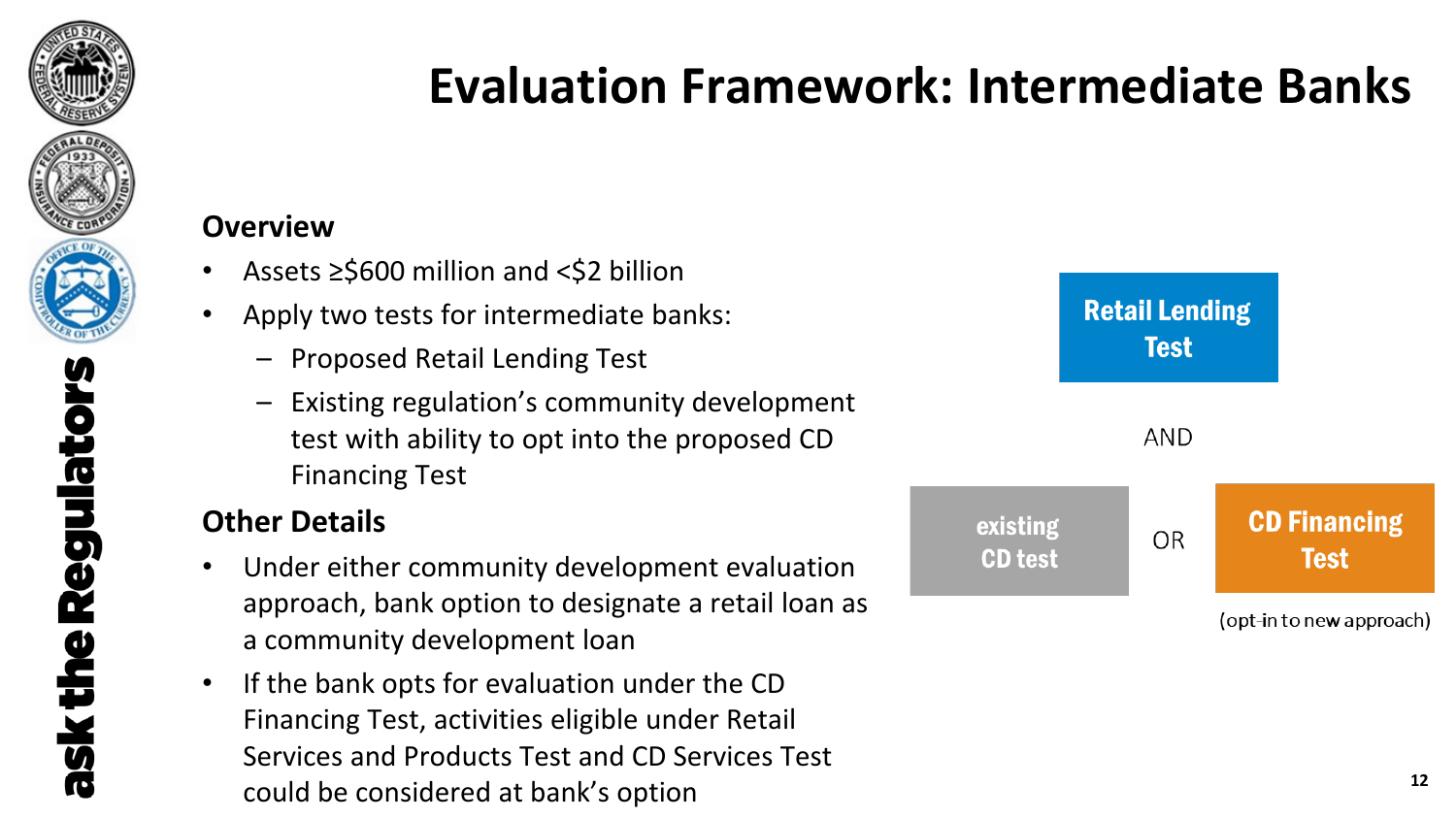

ask the

## **Evaluation Framework: Intermediate Banks**

### **Overview**

- Assets ≥\$600 million and <\$2 billion
- Apply two tests for intermediate banks:
	- Proposed Retail Lending Test
	- Existing regulation's community development test with ability to opt into the proposed CD Financing Test

### **Other Details**

- Under either community development evaluation approach, bank option to designate a retail loan as a community development loan
- If the bank opts for evaluation under the CD Financing Test, activities eligible under Retail Services and Products Test and CD Services Test could be considered at bank's option **<sup>12</sup>**

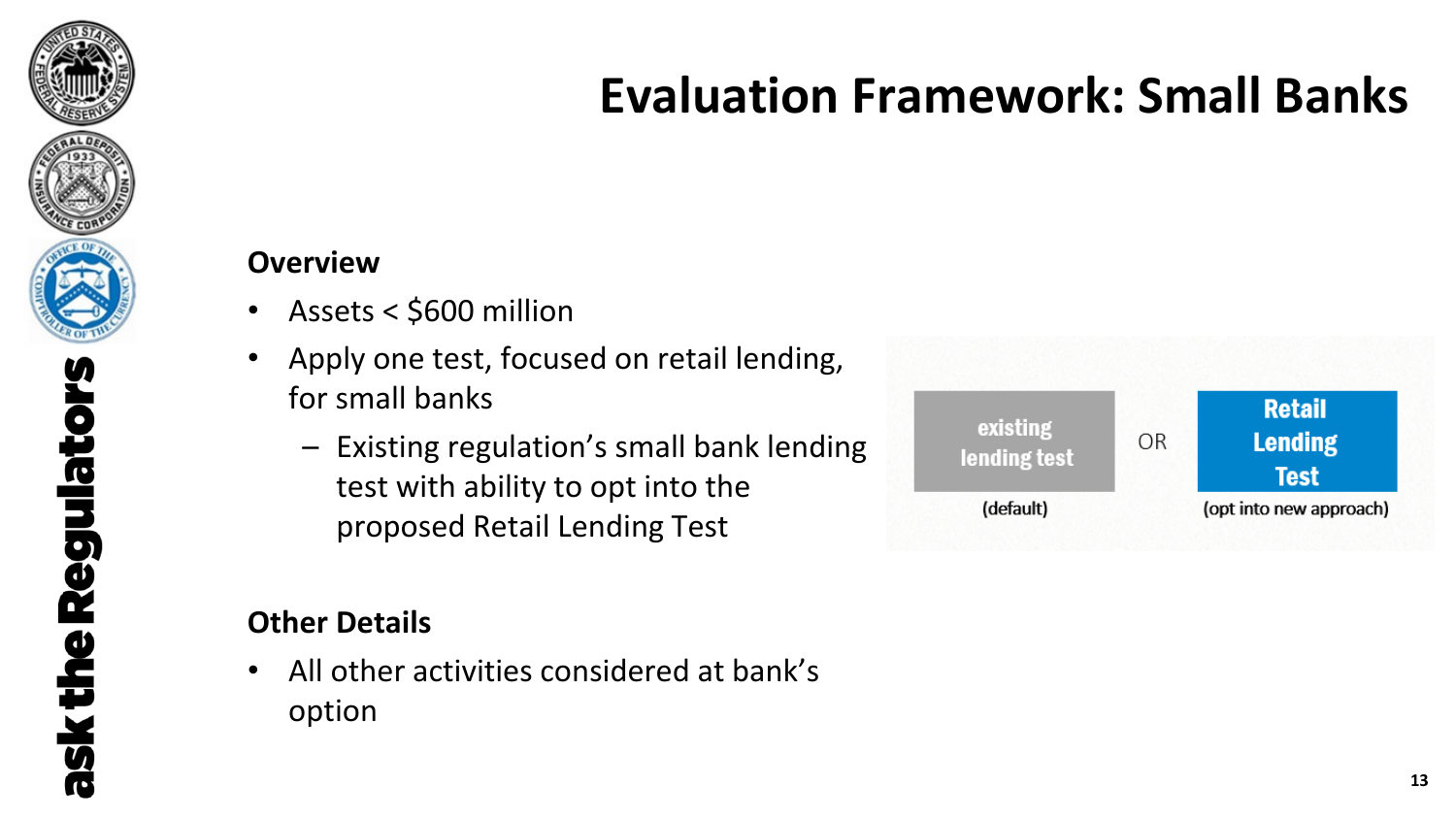

## **Evaluation Framework: Small Banks**

#### **Overview**

- Assets < \$600 million
- Apply one test, focused on retail lending, for small banks
	- Existing regulation's small bank lending test with ability to opt into the proposed Retail Lending Test

### **Other Details**

• All other activities considered at bank's option

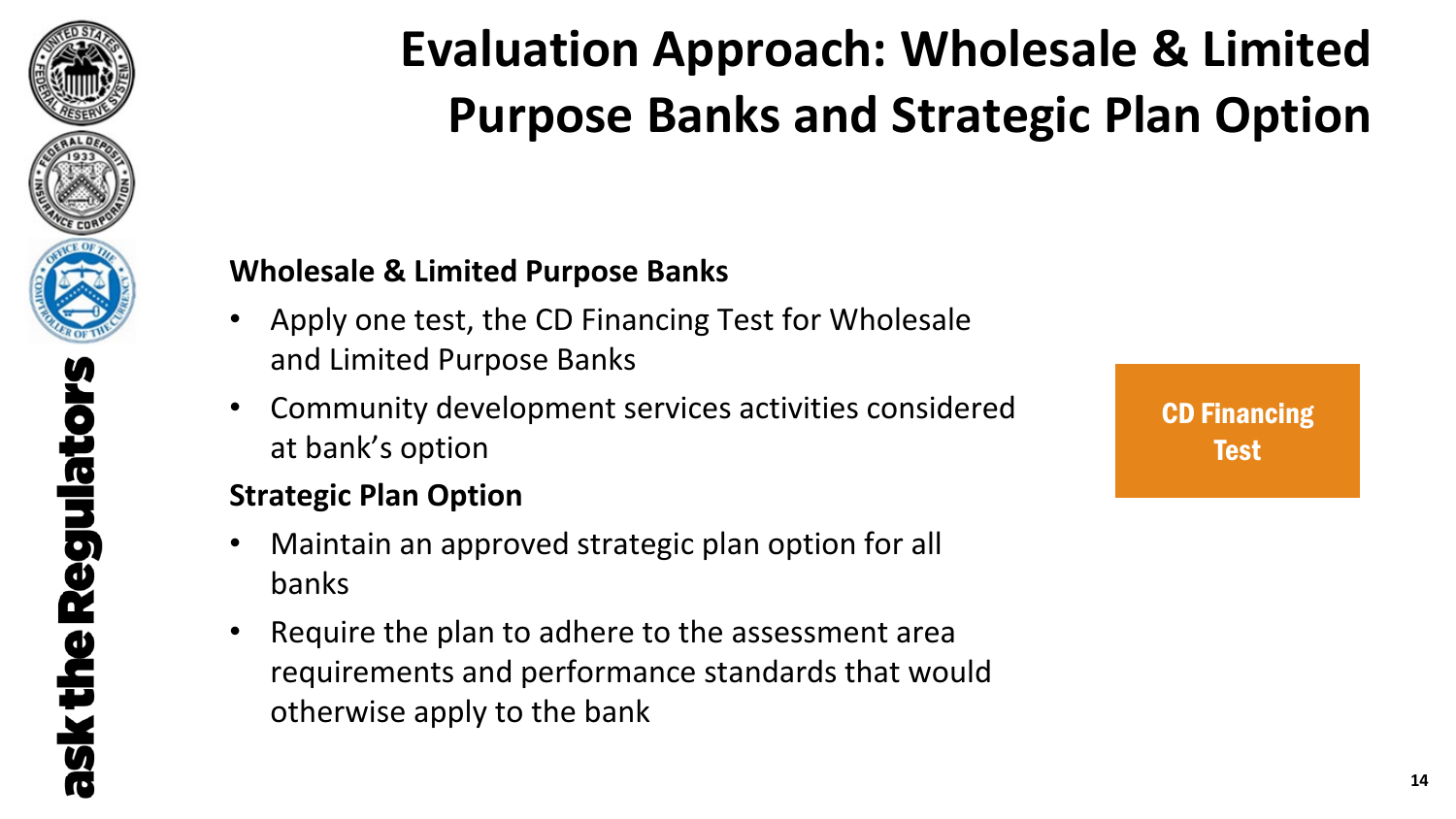

# **Evaluation Approach: Wholesale & Limited Purpose Banks and Strategic Plan Option**

### **Wholesale & Limited Purpose Banks**

- Apply one test, the CD Financing Test for Wholesale and Limited Purpose Banks
- Community development services activities considered at bank's option

### **Strategic Plan Option**

- Maintain an approved strategic plan option for all banks
- Require the plan to adhere to the assessment area requirements and performance standards that would otherwise apply to the bank

**CD Financing** Test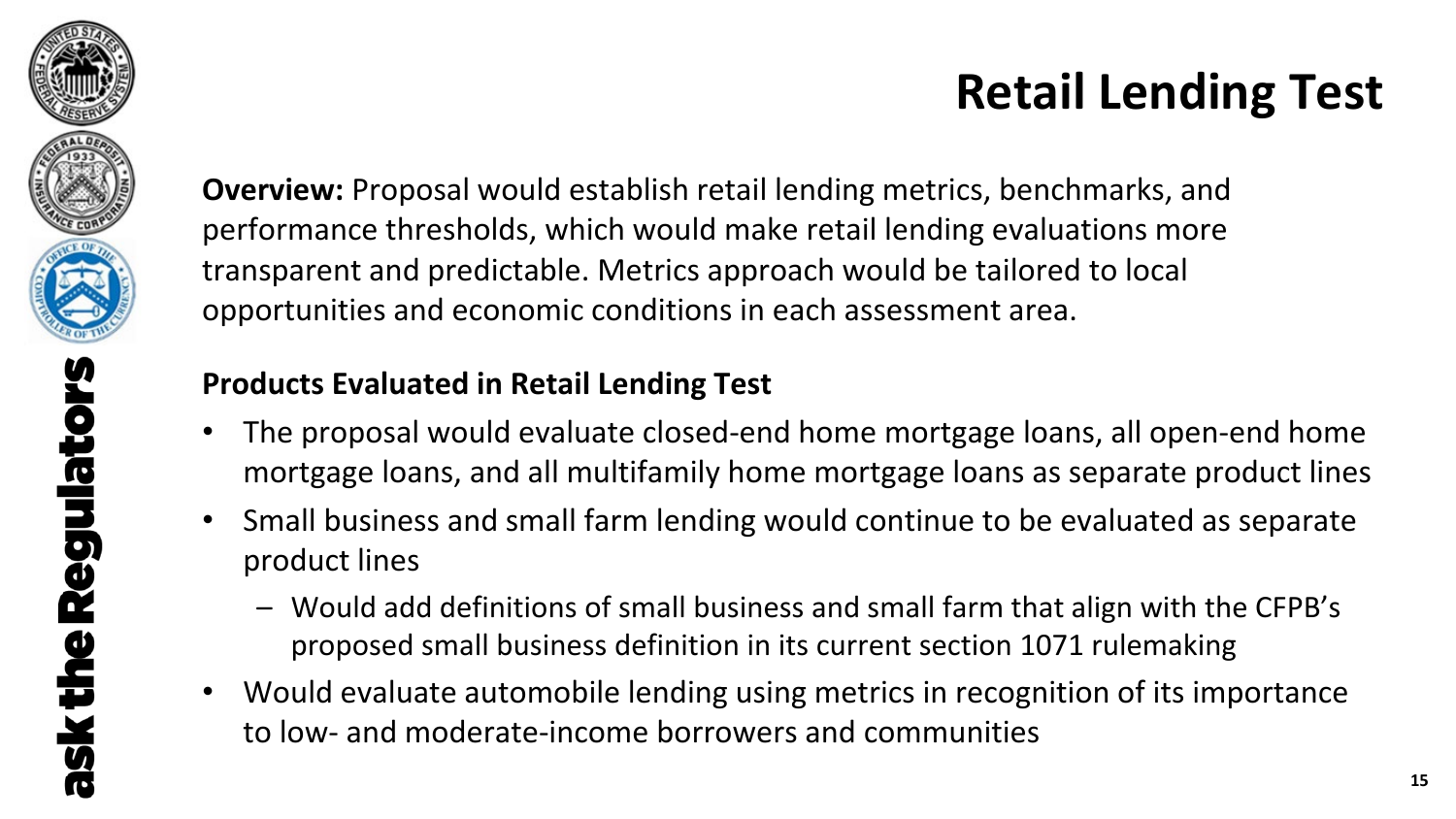

## **Retail Lending Test**

**Overview:** Proposal would establish retail lending metrics, benchmarks, and performance thresholds, which would make retail lending evaluations more transparent and predictable. Metrics approach would be tailored to local opportunities and economic conditions in each assessment area.

### **Products Evaluated in Retail Lending Test**

- The proposal would evaluate closed-end home mortgage loans, all open-end home mortgage loans, and all multifamily home mortgage loans as separate product lines
- Small business and small farm lending would continue to be evaluated as separate product lines
	- Would add definitions of small business and small farm that align with the CFPB's proposed small business definition in its current section 1071 rulemaking
- Would evaluate automobile lending using metrics in recognition of its importance to low- and moderate-income borrowers and communities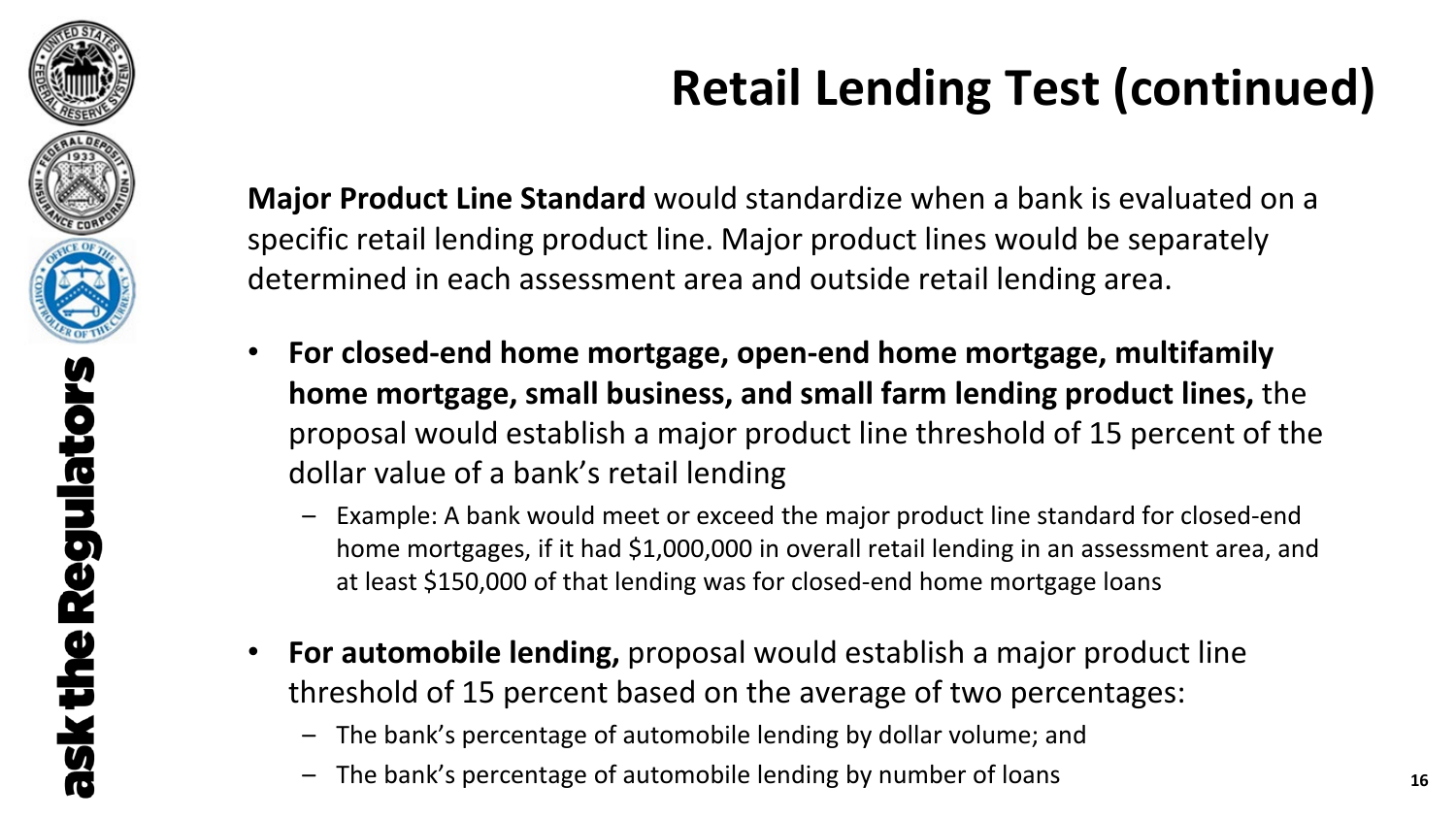

# **Retail Lending Test (continued)**

**Major Product Line Standard** would standardize when a bank is evaluated on a specific retail lending product line. Major product lines would be separately determined in each assessment area and outside retail lending area.

- **For closed-end home mortgage, open-end home mortgage, multifamily home mortgage, small business, and small farm lending product lines,** the proposal would establish a major product line threshold of 15 percent of the dollar value of a bank's retail lending
	- Example: A bank would meet or exceed the major product line standard for closed-end home mortgages, if it had \$1,000,000 in overall retail lending in an assessment area, and at least \$150,000 of that lending was for closed-end home mortgage loans
- **For automobile lending,** proposal would establish a major product line threshold of 15 percent based on the average of two percentages:
	- The bank's percentage of automobile lending by dollar volume; and
	- The bank's percentage of automobile lending by number of loans **<sup>16</sup>**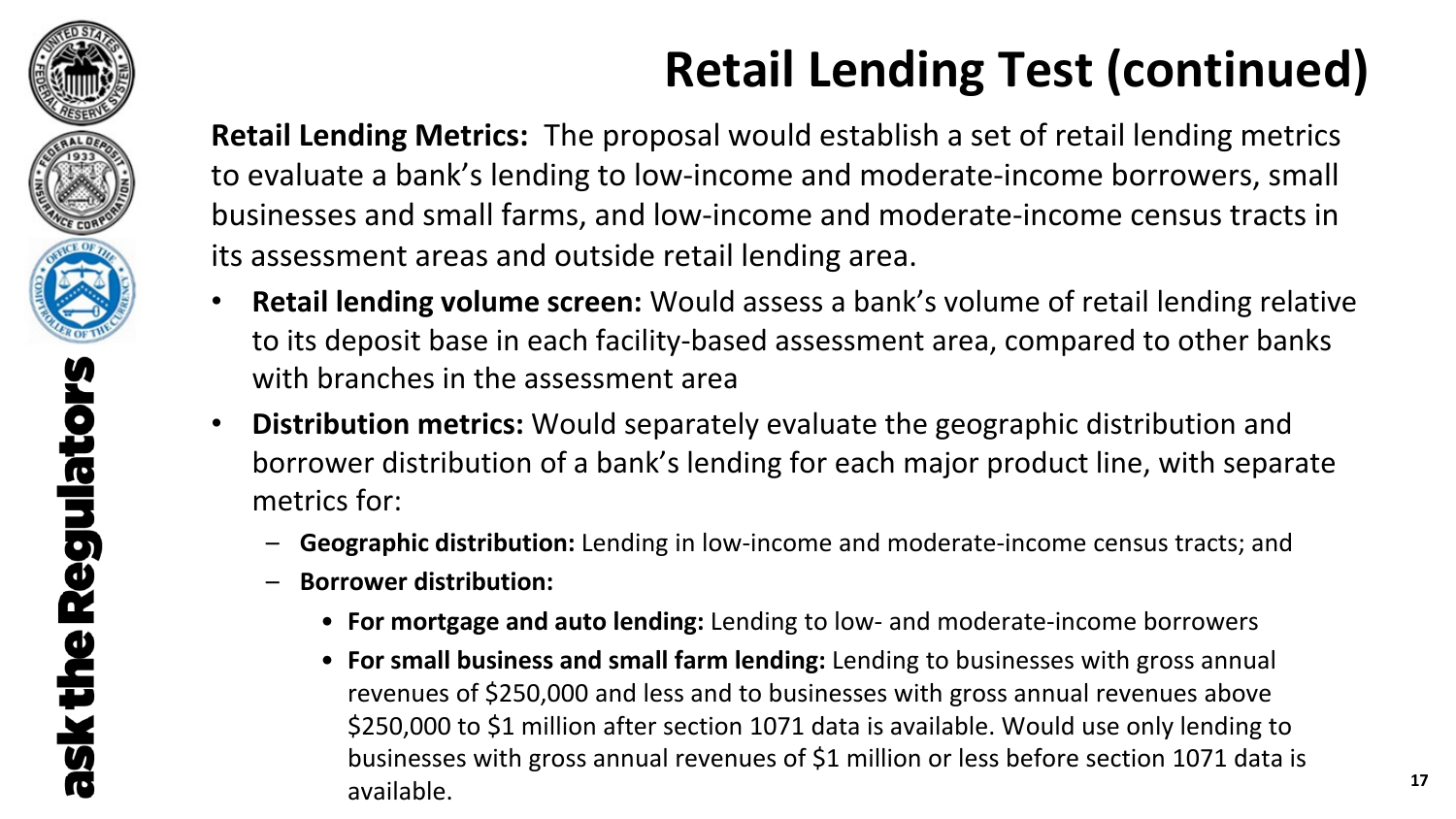

ask the

# **Retail Lending Test (continued)**

**Retail Lending Metrics:** The proposal would establish a set of retail lending metrics to evaluate a bank's lending to low-income and moderate-income borrowers, small businesses and small farms, and low-income and moderate-income census tracts in its assessment areas and outside retail lending area.

- **Retail lending volume screen:** Would assess a bank's volume of retail lending relative to its deposit base in each facility-based assessment area, compared to other banks with branches in the assessment area
- **Distribution metrics:** Would separately evaluate the geographic distribution and borrower distribution of a bank's lending for each major product line, with separate metrics for:
	- **Geographic distribution:** Lending in low-income and moderate-income census tracts; and
	- **Borrower distribution:** 
		- **For mortgage and auto lending:** Lending to low- and moderate-income borrowers
		- **For small business and small farm lending:** Lending to businesses with gross annual revenues of \$250,000 and less and to businesses with gross annual revenues above \$250,000 to \$1 million after section 1071 data is available. Would use only lending to businesses with gross annual revenues of \$1 million or less before section 1071 data is available. **<sup>17</sup>**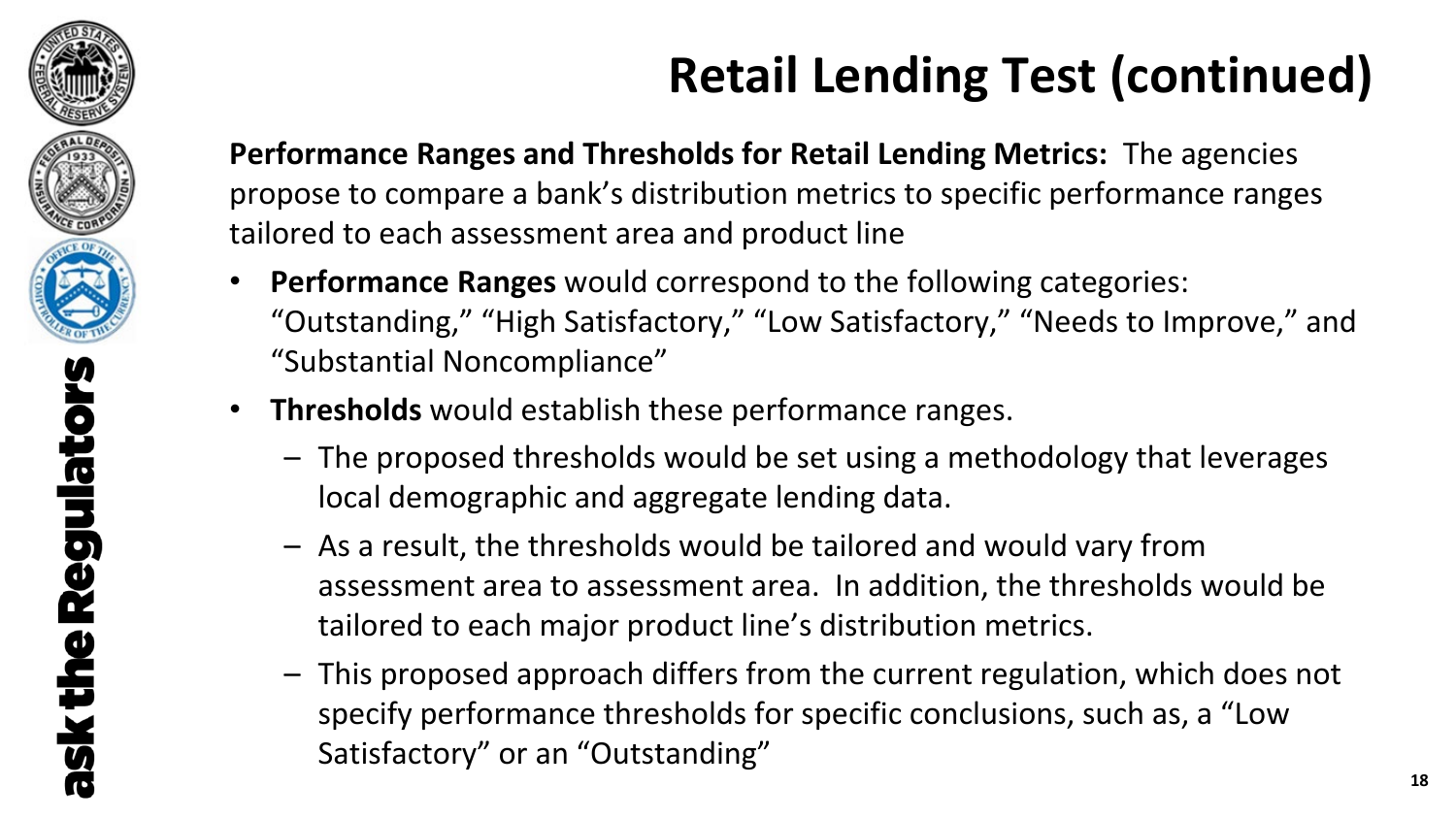

# **Retail Lending Test (continued)**

**Performance Ranges and Thresholds for Retail Lending Metrics:** The agencies propose to compare a bank's distribution metrics to specific performance ranges tailored to each assessment area and product line

- **Performance Ranges** would correspond to the following categories: "Outstanding," "High Satisfactory," "Low Satisfactory," "Needs to Improve," and "Substantial Noncompliance"
- **Thresholds** would establish these performance ranges.
	- The proposed thresholds would be set using a methodology that leverages local demographic and aggregate lending data.
	- As a result, the thresholds would be tailored and would vary from assessment area to assessment area. In addition, the thresholds would be tailored to each major product line's distribution metrics.
	- This proposed approach differs from the current regulation, which does not specify performance thresholds for specific conclusions, such as, a "Low Satisfactory" or an "Outstanding"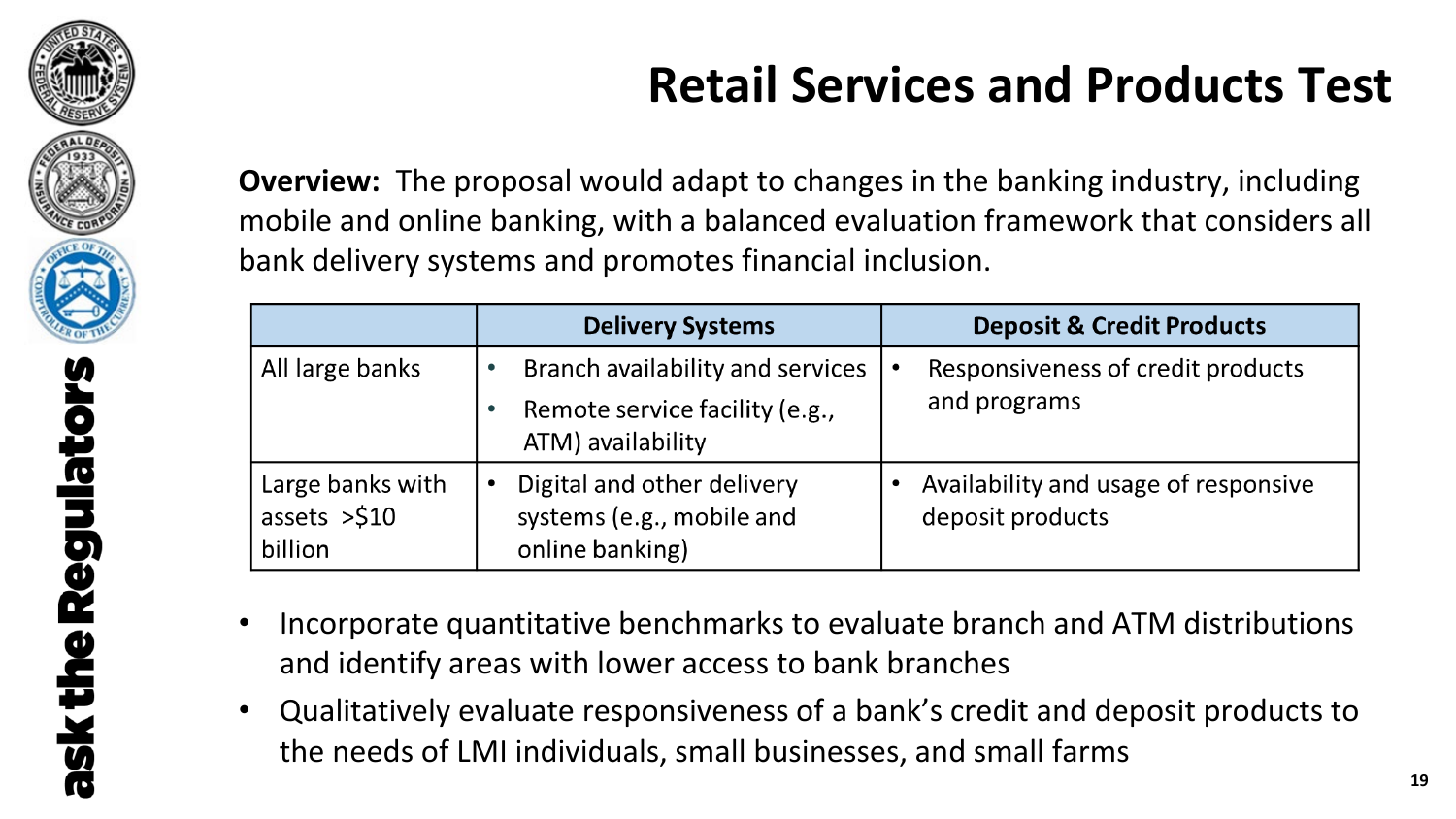

## **Retail Services and Products Test**

**Overview:** The proposal would adapt to changes in the banking industry, including mobile and online banking, with a balanced evaluation framework that considers all bank delivery systems and promotes financial inclusion.

|                                              | <b>Delivery Systems</b>                                                                 | <b>Deposit &amp; Credit Products</b>                     |  |
|----------------------------------------------|-----------------------------------------------------------------------------------------|----------------------------------------------------------|--|
| All large banks                              | Branch availability and services<br>Remote service facility (e.g.,<br>ATM) availability | Responsiveness of credit products<br>and programs        |  |
| Large banks with<br>assets $>510$<br>billion | Digital and other delivery<br>$\bullet$<br>systems (e.g., mobile and<br>online banking) | Availability and usage of responsive<br>deposit products |  |

- Incorporate quantitative benchmarks to evaluate branch and ATM distributions and identify areas with lower access to bank branches
- Qualitatively evaluate responsiveness of a bank's credit and deposit products to the needs of LMI individuals, small businesses, and small farms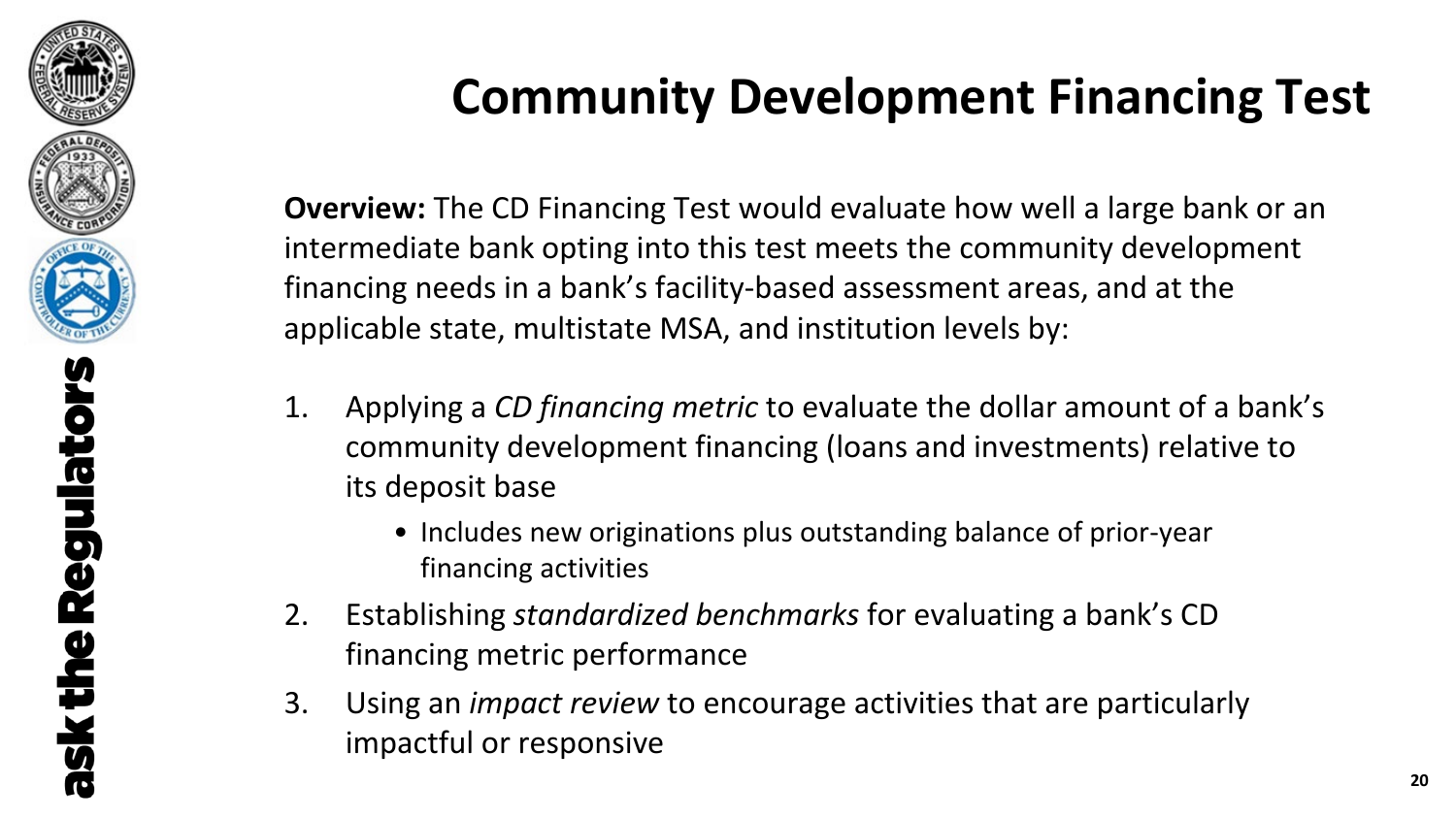

## **Community Development Financing Test**

**Overview:** The CD Financing Test would evaluate how well a large bank or an intermediate bank opting into this test meets the community development financing needs in a bank's facility-based assessment areas, and at the applicable state, multistate MSA, and institution levels by:

- 1. Applying a *CD financing metric* to evaluate the dollar amount of a bank's community development financing (loans and investments) relative to its deposit base
	- Includes new originations plus outstanding balance of prior-year financing activities
- 2. Establishing *standardized benchmarks* for evaluating a bank's CD financing metric performance
- 3. Using an *impact review* to encourage activities that are particularly impactful or responsive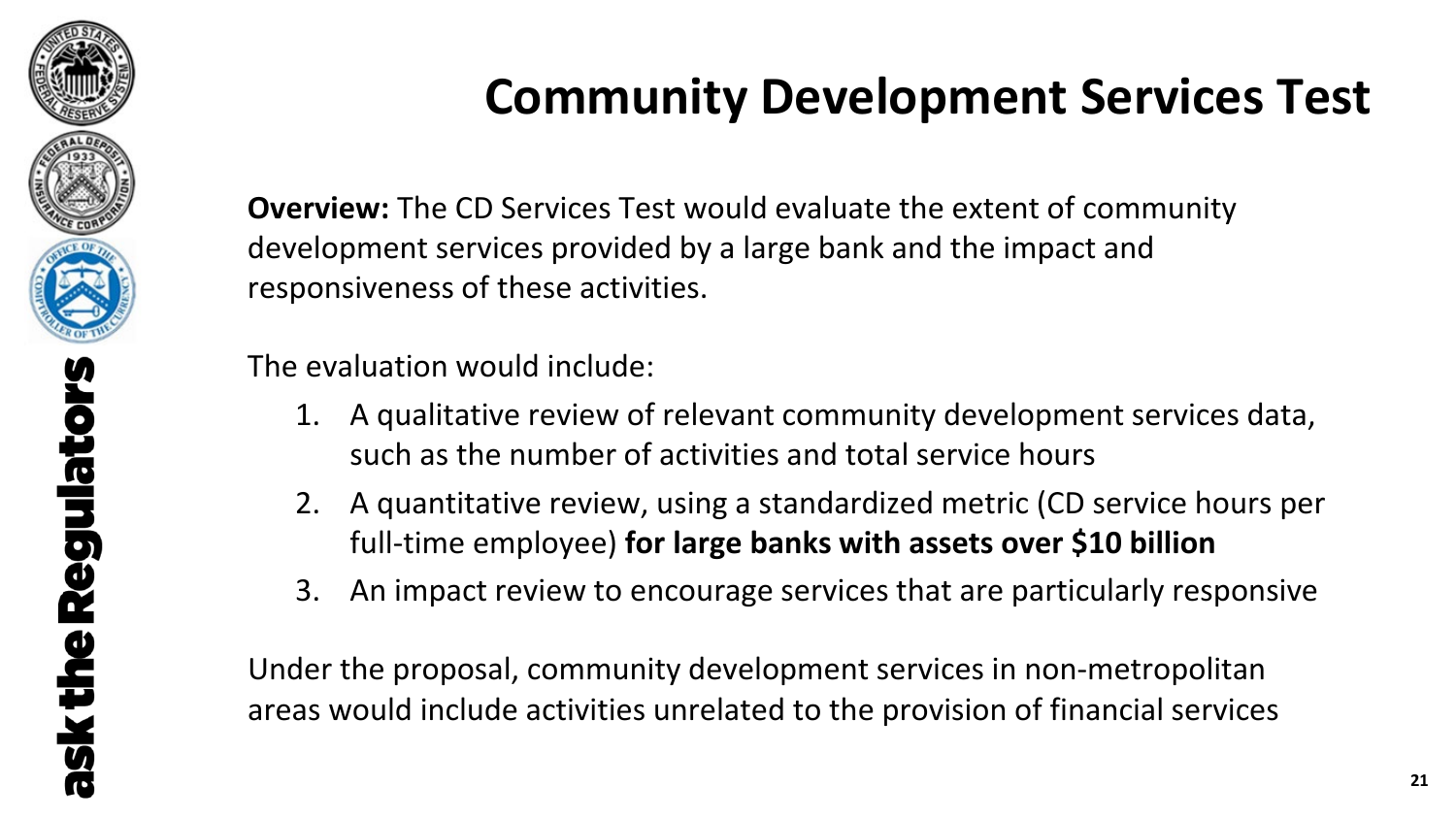

## **Community Development Services Test**

**Overview:** The CD Services Test would evaluate the extent of community development services provided by a large bank and the impact and responsiveness of these activities.

The evaluation would include:

- 1. A qualitative review of relevant community development services data, such as the number of activities and total service hours
- 2. A quantitative review, using a standardized metric (CD service hours per full-time employee) **for large banks with assets over \$10 billion**
- 3. An impact review to encourage services that are particularly responsive

Under the proposal, community development services in non-metropolitan areas would include activities unrelated to the provision of financial services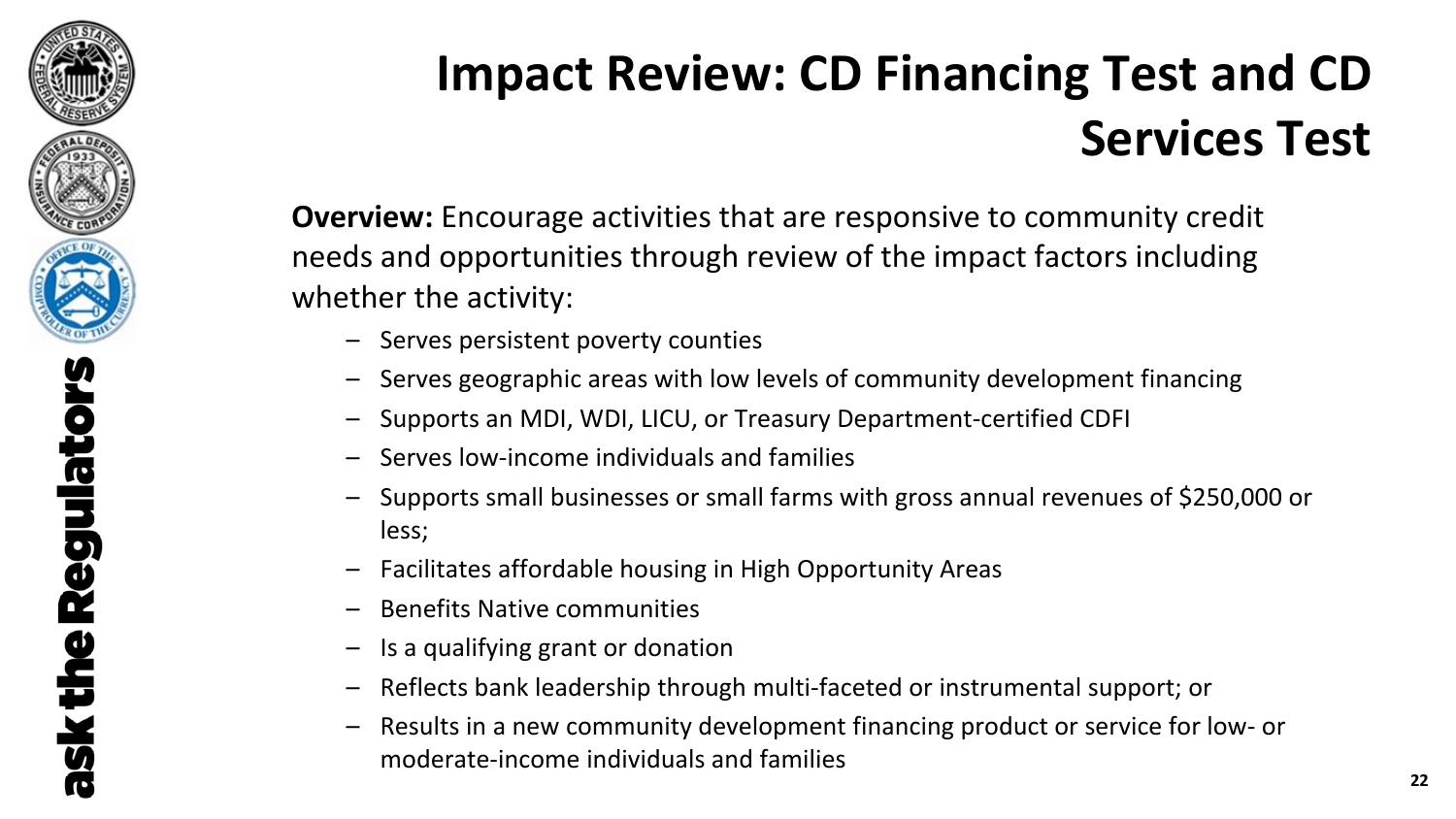

## **Impact Review: CD Financing Test and CD Services Test**

**Overview:** Encourage activities that are responsive to community credit needs and opportunities through review of the impact factors including whether the activity:

- Serves persistent poverty counties
- Serves geographic areas with low levels of community development financing
- Supports an MDI, WDI, LICU, or Treasury Department-certified CDFI
- Serves low-income individuals and families
- Supports small businesses or small farms with gross annual revenues of \$250,000 or less;
- Facilitates affordable housing in High Opportunity Areas
- Benefits Native communities
- Is a qualifying grant or donation
- Reflects bank leadership through multi-faceted or instrumental support; or
- Results in a new community development financing product or service for low- or moderate-income individuals and families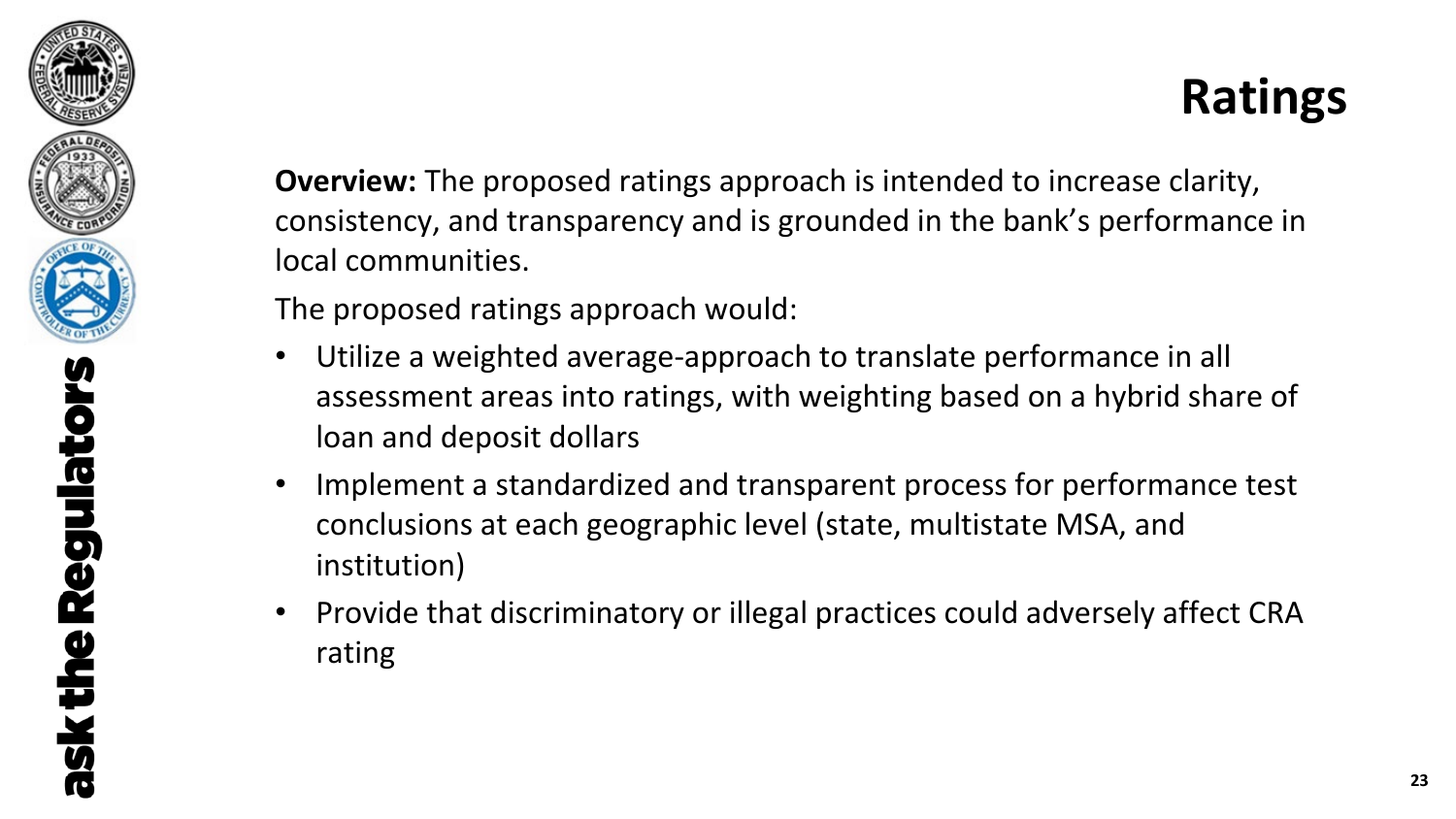

### **Ratings**

**Overview:** The proposed ratings approach is intended to increase clarity, consistency, and transparency and is grounded in the bank's performance in local communities.

The proposed ratings approach would:

- Utilize a weighted average-approach to translate performance in all assessment areas into ratings, with weighting based on a hybrid share of loan and deposit dollars
- Implement a standardized and transparent process for performance test conclusions at each geographic level (state, multistate MSA, and institution)
- Provide that discriminatory or illegal practices could adversely affect CRA rating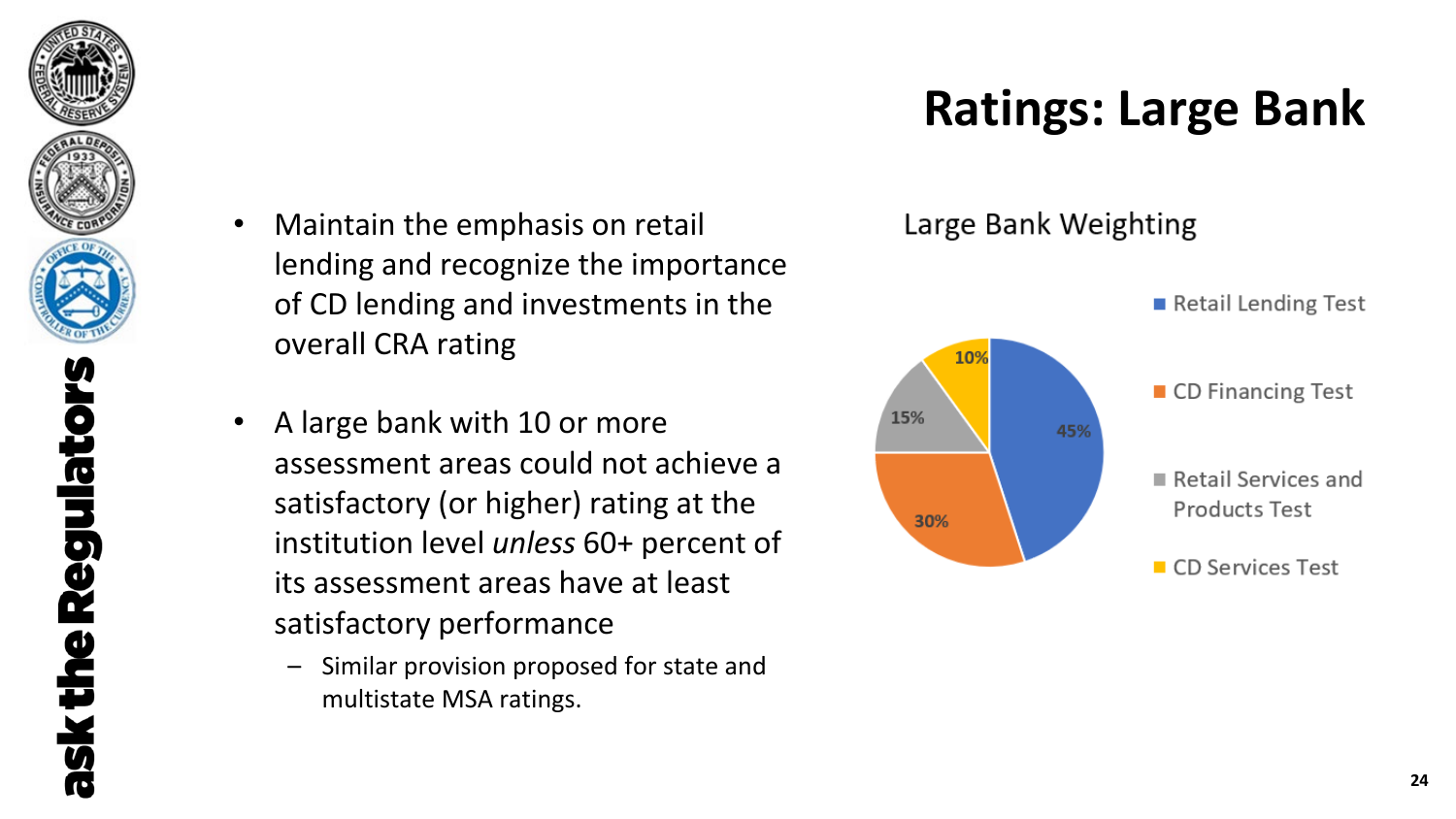

## **Ratings: Large Bank**

- Maintain the emphasis on retail lending and recognize the importance of CD lending and investments in the overall CRA rating
- A large bank with 10 or more assessment areas could not achieve a satisfactory (or higher) rating at the institution level *unless* 60+ percent of its assessment areas have at least satisfactory performance
	- Similar provision proposed for state and multistate MSA ratings.

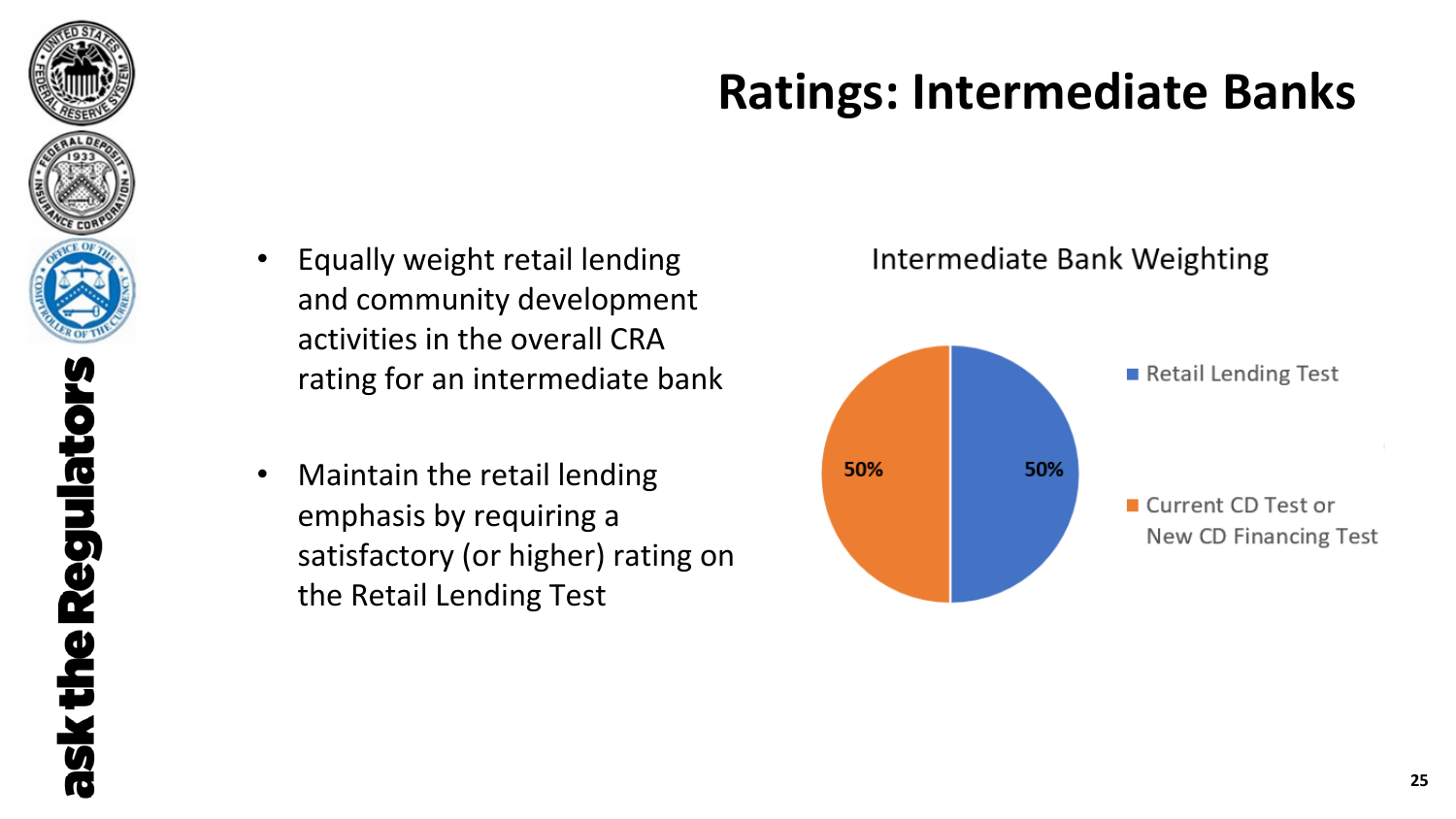

## **Ratings: Intermediate Banks**

- Equally weight retail lending and community development activities in the overall CRA rating for an intermediate bank
- Maintain the retail lending emphasis by requiring a satisfactory (or higher) rating on the Retail Lending Test



#### Intermediate Bank Weighting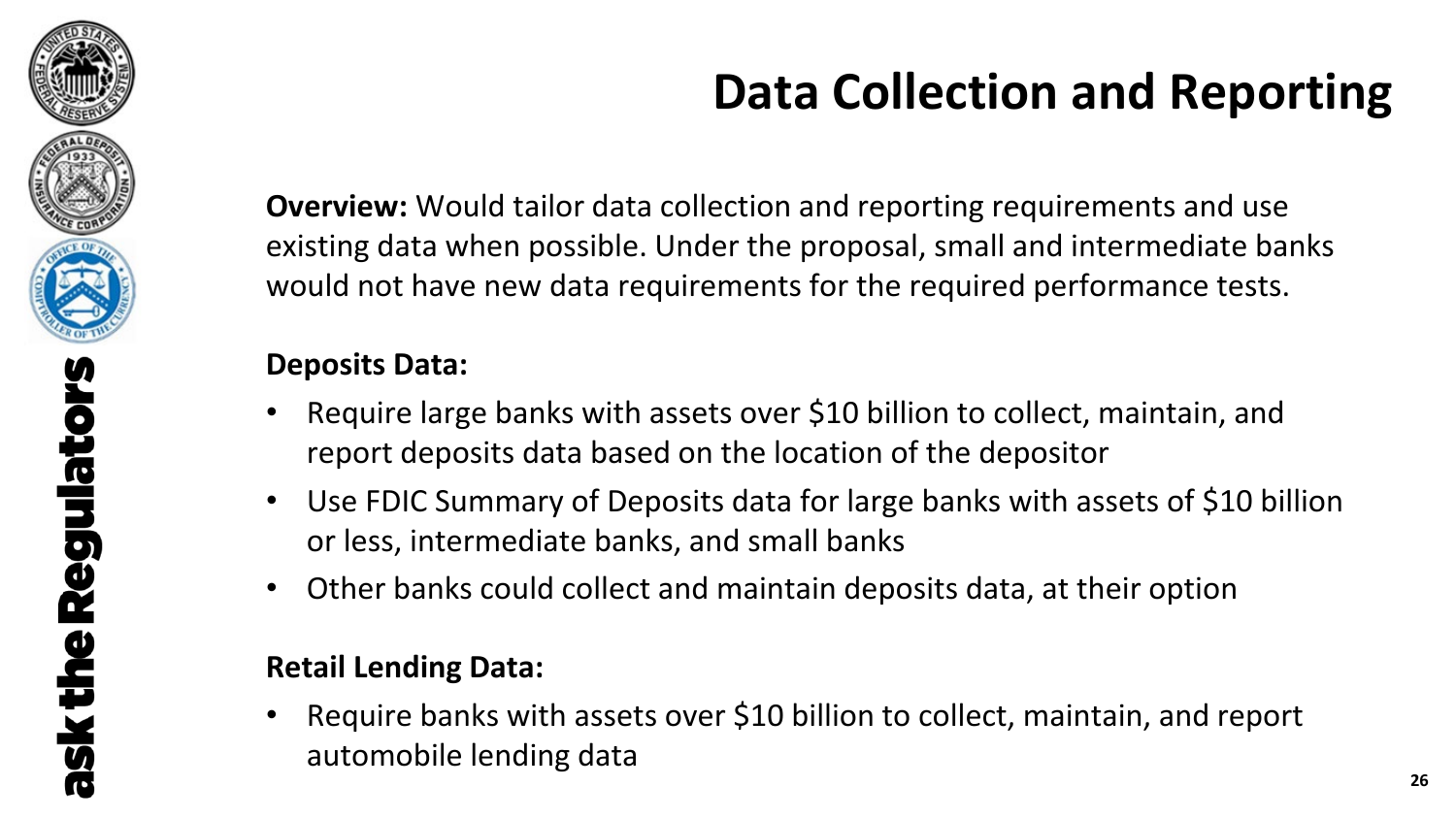

## **Data Collection and Reporting**

**Overview:** Would tailor data collection and reporting requirements and use existing data when possible. Under the proposal, small and intermediate banks would not have new data requirements for the required performance tests.

### **Deposits Data:**

- Require large banks with assets over \$10 billion to collect, maintain, and report deposits data based on the location of the depositor
- Use FDIC Summary of Deposits data for large banks with assets of \$10 billion or less, intermediate banks, and small banks
- Other banks could collect and maintain deposits data, at their option

### **Retail Lending Data:**

Require banks with assets over \$10 billion to collect, maintain, and report automobile lending data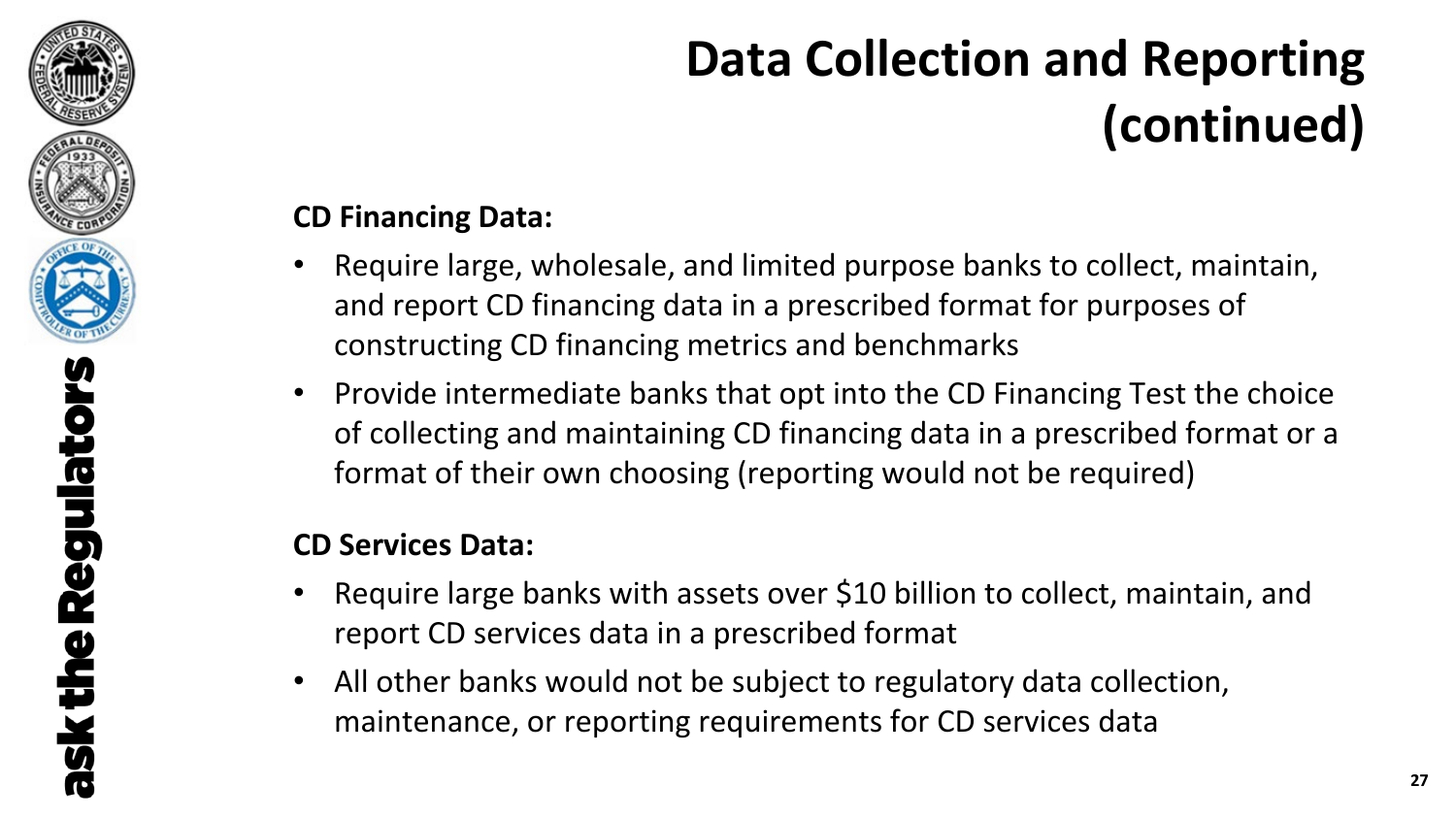

# **Data Collection and Reporting (continued)**

### **CD Financing Data:**

- Require large, wholesale, and limited purpose banks to collect, maintain, and report CD financing data in a prescribed format for purposes of constructing CD financing metrics and benchmarks
- Provide intermediate banks that opt into the CD Financing Test the choice of collecting and maintaining CD financing data in a prescribed format or a format of their own choosing (reporting would not be required)

### **CD Services Data:**

- Require large banks with assets over \$10 billion to collect, maintain, and report CD services data in a prescribed format
- All other banks would not be subject to regulatory data collection, maintenance, or reporting requirements for CD services data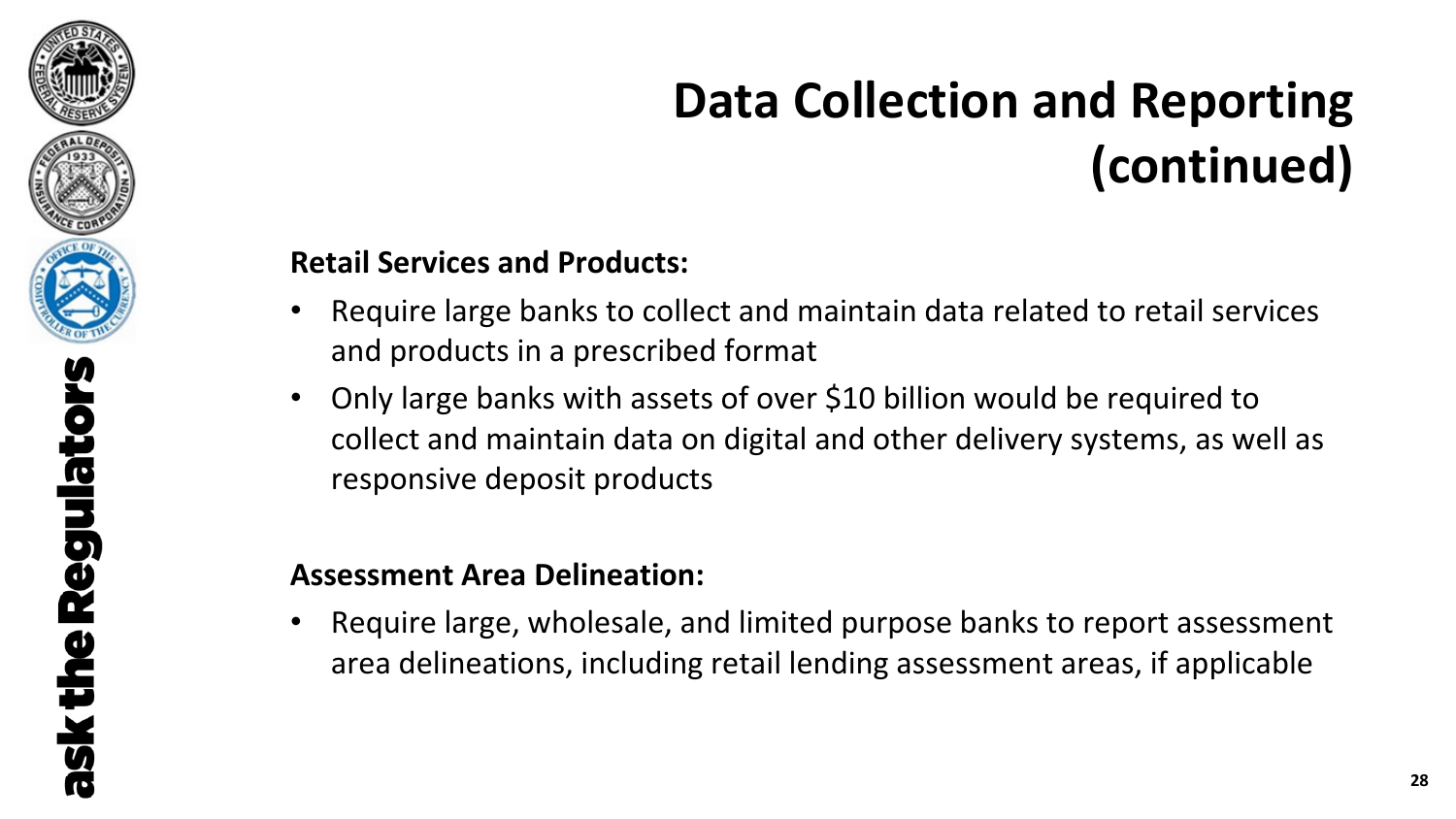

# **Data Collection and Reporting (continued)**

### **Retail Services and Products:**

- Require large banks to collect and maintain data related to retail services and products in a prescribed format
- Only large banks with assets of over \$10 billion would be required to collect and maintain data on digital and other delivery systems, as well as responsive deposit products

### **Assessment Area Delineation:**

• Require large, wholesale, and limited purpose banks to report assessment area delineations, including retail lending assessment areas, if applicable